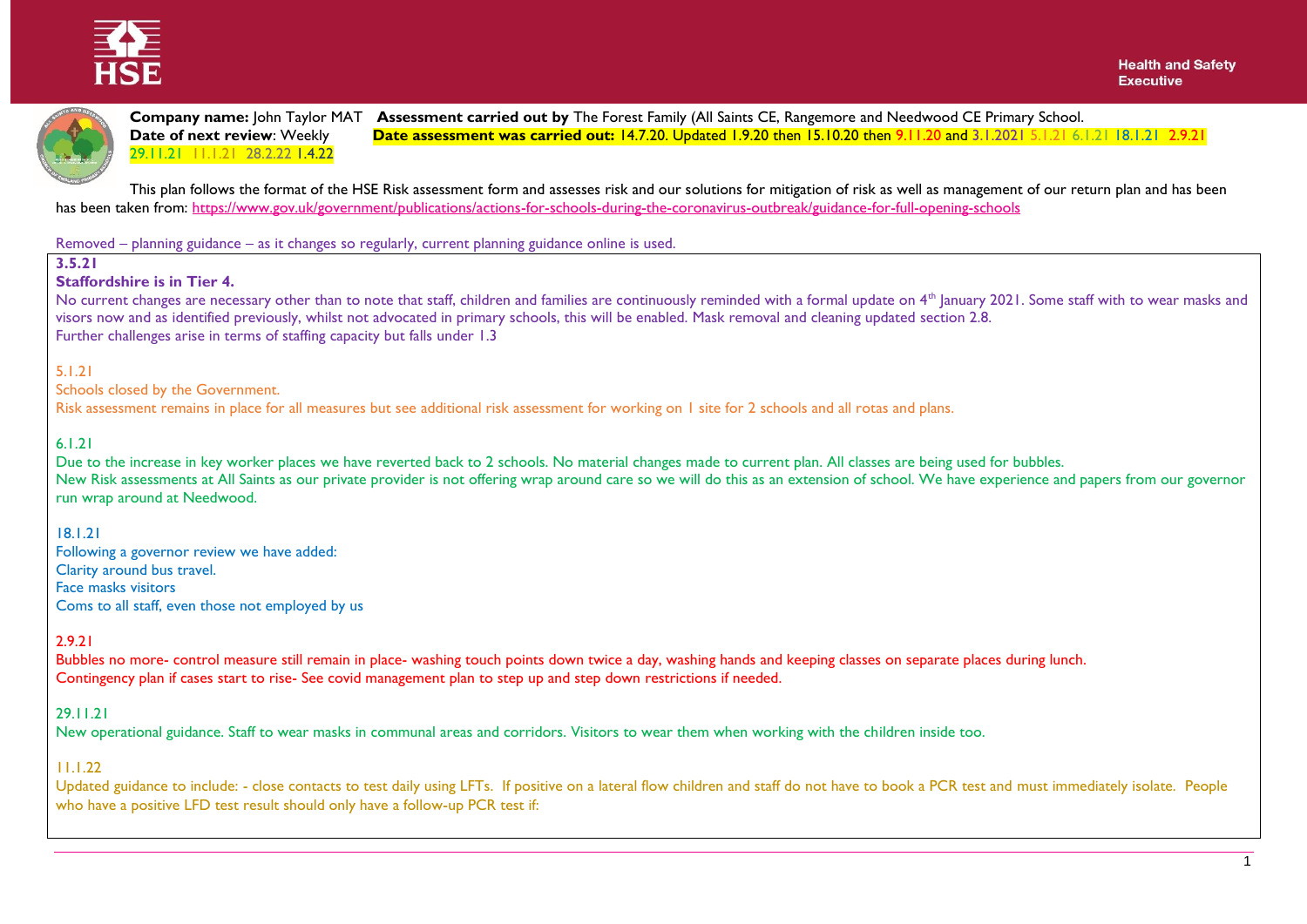



**Company name:** John Taylor MAT **Assessment carried out by** The Forest Family (All Saints CE, Rangemore and Needwood CE Primary School.<br>**Date of next review**: Weekly **Date assessment was carried out: 14.7.20. Updated 1.9.2 Date assessment was carried out:** 14.7.20. Updated 1.9.20 then 15.10.20 then 9.11.20 and 3.1.2021 5.1.21 6.1.21 18.1.21 2.9.21 29.11.21 11.1.21 28.2.22 1.4.22

This plan follows the format of the HSE Risk assessment form and assesses risk and our solutions for mitigation of risk as well as management of our return plan and has been has been taken from: <https://www.gov.uk/government/publications/actions-for-schools-during-the-coronavirus-outbreak/guidance-for-full-opening-schools>

Removed – planning guidance – as it changes so regularly, current planning guidance online is used.

#### **3.5.21**

#### **Staffordshire is in Tier 4.**

No current changes are necessary other than to note that staff, children and families are continuously reminded with a formal update on 4<sup>th</sup> January 2021. Some staff with to wear masks and visors now and as identified previously, whilst not advocated in primary schools, this will be enabled. Mask removal and cleaning updated section 2.8. Further challenges arise in terms of staffing capacity but falls under 1.3

#### 5.1.21

Schools closed by the Government.

Risk assessment remains in place for all measures but see additional risk assessment for working on 1 site for 2 schools and all rotas and plans.

#### 6.1.21

Due to the increase in key worker places we have reverted back to 2 schools. No material changes made to current plan. All classes are being used for bubbles. New Risk assessments at All Saints as our private provider is not offering wrap around care so we will do this as an extension of school. We have experience and papers from our governor run wrap around at Needwood.

## 18.1.21

Following a governor review we have added: Clarity around bus travel. Face masks visitors Coms to all staff, even those not employed by us

## 2.9.21

Bubbles no more- control measure still remain in place- washing touch points down twice a day, washing hands and keeping classes on separate places during lunch. Contingency plan if cases start to rise- See covid management plan to step up and step down restrictions if needed.

## 29.11.21

New operational guidance. Staff to wear masks in communal areas and corridors. Visitors to wear them when working with the children inside too.

## 11.1.22

Updated guidance to include: - close contacts to test daily using LFTs. If positive on a lateral flow children and staff do not have to book a PCR test and must immediately isolate. People who have a positive LFD test result should only have a follow-up PCR test if: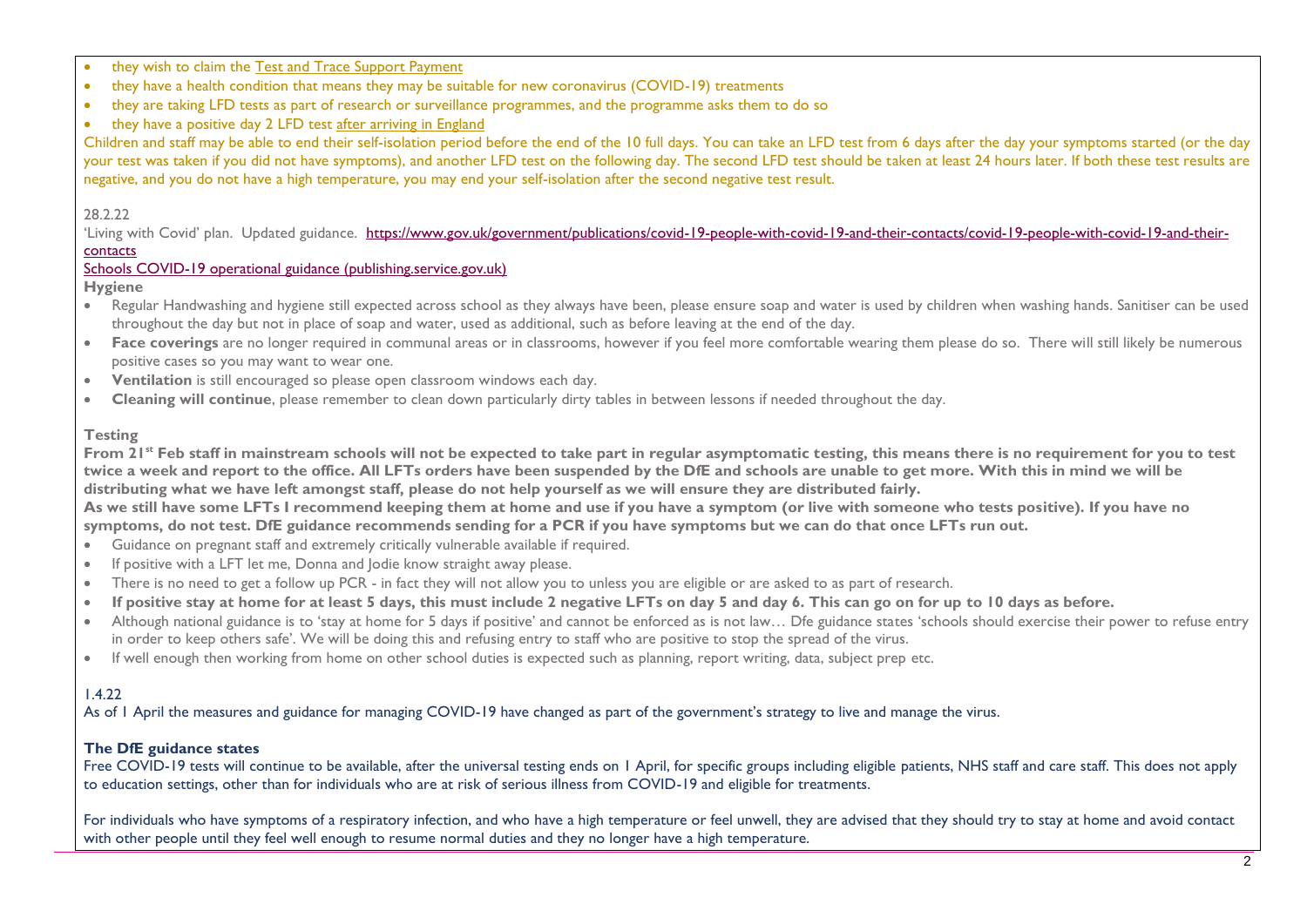- they wish to claim the [Test and Trace Support Payment](https://www.gov.uk/government/publications/test-and-trace-support-payment-scheme-claiming-financial-support/claiming-financial-support-under-the-test-and-trace-support-payment-scheme)
- they have a health condition that means they may be suitable for new coronavirus (COVID-19) treatments
- they are taking LFD tests as part of research or surveillance programmes, and the programme asks them to do so
- they have a positive day 2 LFD test [after arriving in England](https://www.gov.uk/guidance/travel-to-england-from-another-country-during-coronavirus-covid-19)

Children and staff may be able to end their self-isolation period before the end of the 10 full days. You can take an LFD test from 6 days after the day your symptoms started (or the day your test was taken if you did not have symptoms), and another LFD test on the following day. The second LFD test should be taken at least 24 hours later. If both these test results are negative, and you do not have a high temperature, you may end your self-isolation after the second negative test result.

#### 28.2.22

'Living with Covid' plan. Updated guidance. [https://www.gov.uk/government/publications/covid-19-people-with-covid-19-and-their-contacts/covid-19-people-with-covid-19-and-their](https://www.gov.uk/government/publications/covid-19-people-with-covid-19-and-their-contacts/covid-19-people-with-covid-19-and-their-contacts)[contacts](https://www.gov.uk/government/publications/covid-19-people-with-covid-19-and-their-contacts/covid-19-people-with-covid-19-and-their-contacts)

## [Schools COVID-19 operational guidance \(publishing.service.gov.uk\)](https://assets.publishing.service.gov.uk/government/uploads/system/uploads/attachment_data/file/1057106/220224_Schools_guidance.pdf)

#### **Hygiene**

- Regular Handwashing and hygiene still expected across school as they always have been, please ensure soap and water is used by children when washing hands. Sanitiser can be used throughout the day but not in place of soap and water, used as additional, such as before leaving at the end of the day.
- Face coverings are no longer required in communal areas or in classrooms, however if you feel more comfortable wearing them please do so. There will still likely be numerous positive cases so you may want to wear one.
- **•** Ventilation is still encouraged so please open classroom windows each day.
- **Cleaning will continue**, please remember to clean down particularly dirty tables in between lessons if needed throughout the day.

## **Testing**

From 2<sup>1<sup>st</sup> Feb staff in mainstream schools will not be expected to take part in regular asymptomatic testing, this means there is no requirement for you to test</sup> **twice a week and report to the office. All LFTs orders have been suspended by the DfE and schools are unable to get more. With this in mind we will be distributing what we have left amongst staff, please do not help yourself as we will ensure they are distributed fairly.**

**As we still have some LFTs I recommend keeping them at home and use if you have a symptom (or live with someone who tests positive). If you have no symptoms, do not test. DfE guidance recommends sending for a PCR if you have symptoms but we can do that once LFTs run out.** 

- Guidance on pregnant staff and extremely critically vulnerable available if required.
- If positive with a LFT let me, Donna and Jodie know straight away please.
- There is no need to get a follow up PCR in fact they will not allow you to unless you are eligible or are asked to as part of research.
- **If positive stay at home for at least 5 days, this must include 2 negative LFTs on day 5 and day 6. This can go on for up to 10 days as before.**
- Although national guidance is to 'stay at home for 5 days if positive' and cannot be enforced as is not law… Dfe guidance states 'schools should exercise their power to refuse entry in order to keep others safe'. We will be doing this and refusing entry to staff who are positive to stop the spread of the virus.
- If well enough then working from home on other school duties is expected such as planning, report writing, data, subject prep etc.

# 1.4.22

As of 1 April the measures and guidance for managing COVID-19 have changed as part of the government's strategy to live and manage the virus.

# **The DfE guidance states**

Free COVID-19 tests will continue to be available, after the universal testing ends on 1 April, for specific groups including eligible patients, NHS staff and care staff. This does not apply to education settings, other than for individuals who are at risk of serious illness from COVID-19 and eligible for treatments.

For individuals who have symptoms of a respiratory infection, and who have a high temperature or feel unwell, they are advised that they should try to stay at home and avoid contact with other people until they feel well enough to resume normal duties and they no longer have a high temperature.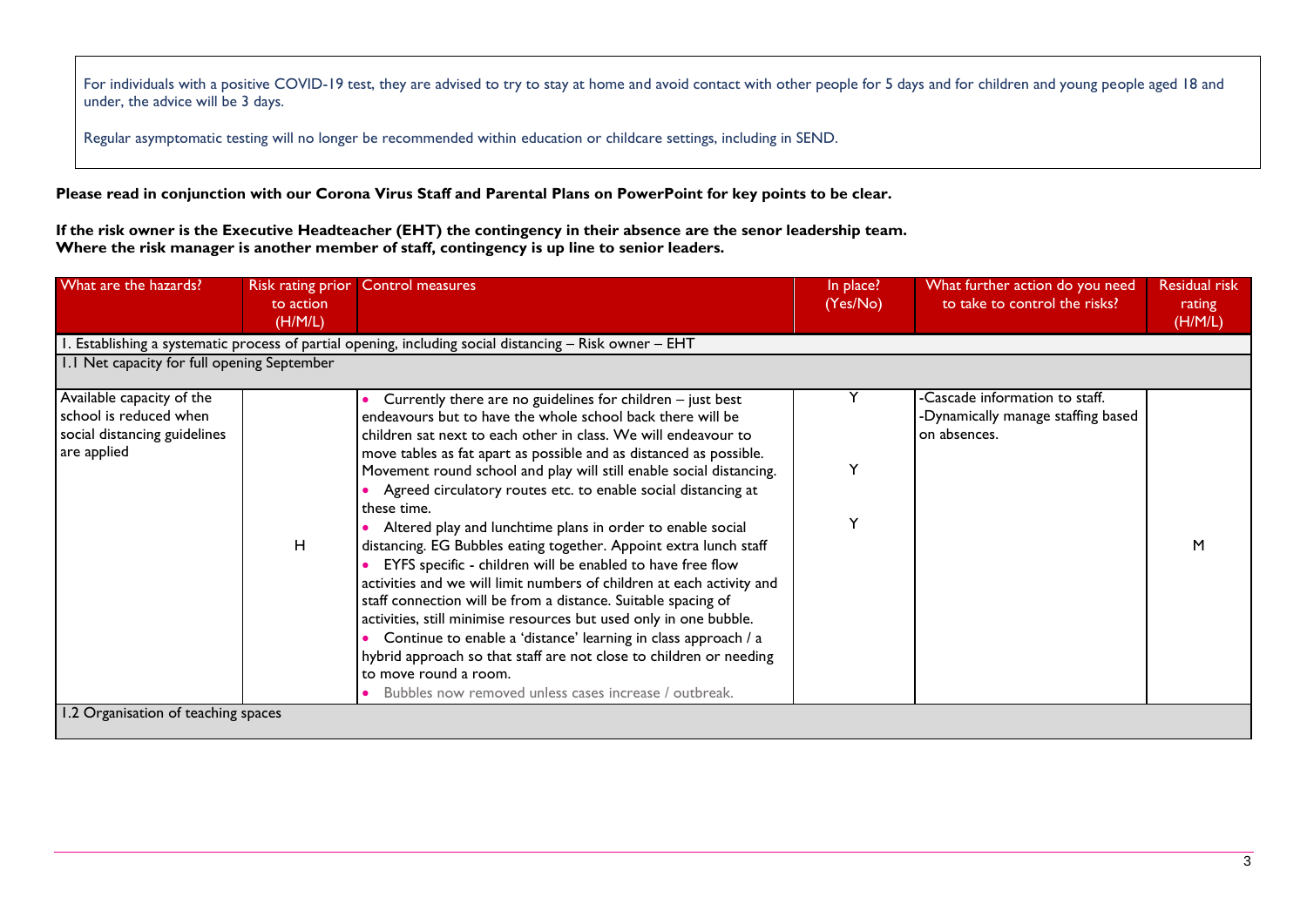For individuals with a positive COVID-19 test, they are advised to try to stay at home and avoid contact with other people for 5 days and for children and young people aged 18 and under, the advice will be 3 days.

Regular asymptomatic testing will no longer be recommended within education or childcare settings, including in SEND.

**Please read in conjunction with our Corona Virus Staff and Parental Plans on PowerPoint for key points to be clear.** 

**If the risk owner is the Executive Headteacher (EHT) the contingency in their absence are the senor leadership team. Where the risk manager is another member of staff, contingency is up line to senior leaders.** 

| What are the hazards?                                                                              | Risk rating prior<br>to action<br>(H/M/L) | <b>Control measures</b>                                                                                                                                                                                                                                                                                                                                                                                                                                                                                                                                                                                                                                                                                                                                                                                                                                                                                                                                                                                                                                               | In place?<br>(Yes/No) | What further action do you need<br>to take to control the risks?                     | <b>Residual risk</b><br>rating<br>(H/M/L) |
|----------------------------------------------------------------------------------------------------|-------------------------------------------|-----------------------------------------------------------------------------------------------------------------------------------------------------------------------------------------------------------------------------------------------------------------------------------------------------------------------------------------------------------------------------------------------------------------------------------------------------------------------------------------------------------------------------------------------------------------------------------------------------------------------------------------------------------------------------------------------------------------------------------------------------------------------------------------------------------------------------------------------------------------------------------------------------------------------------------------------------------------------------------------------------------------------------------------------------------------------|-----------------------|--------------------------------------------------------------------------------------|-------------------------------------------|
|                                                                                                    |                                           | Establishing a systematic process of partial opening, including social distancing - Risk owner - EHT                                                                                                                                                                                                                                                                                                                                                                                                                                                                                                                                                                                                                                                                                                                                                                                                                                                                                                                                                                  |                       |                                                                                      |                                           |
| 1.1 Net capacity for full opening September                                                        |                                           |                                                                                                                                                                                                                                                                                                                                                                                                                                                                                                                                                                                                                                                                                                                                                                                                                                                                                                                                                                                                                                                                       |                       |                                                                                      |                                           |
| Available capacity of the<br>school is reduced when<br>social distancing guidelines<br>are applied | H                                         | Currently there are no guidelines for children $-$ just best<br>endeavours but to have the whole school back there will be<br>children sat next to each other in class. We will endeavour to<br>move tables as fat apart as possible and as distanced as possible.<br>Movement round school and play will still enable social distancing.<br>• Agreed circulatory routes etc. to enable social distancing at<br>these time.<br>Altered play and lunchtime plans in order to enable social<br>distancing. EG Bubbles eating together. Appoint extra lunch staff<br>EYFS specific - children will be enabled to have free flow<br>activities and we will limit numbers of children at each activity and<br>staff connection will be from a distance. Suitable spacing of<br>activities, still minimise resources but used only in one bubble.<br>Continue to enable a 'distance' learning in class approach / a<br>hybrid approach so that staff are not close to children or needing<br>to move round a room.<br>Bubbles now removed unless cases increase / outbreak. | v                     | -Cascade information to staff.<br>-Dynamically manage staffing based<br>on absences. | м                                         |
| 1.2 Organisation of teaching spaces                                                                |                                           |                                                                                                                                                                                                                                                                                                                                                                                                                                                                                                                                                                                                                                                                                                                                                                                                                                                                                                                                                                                                                                                                       |                       |                                                                                      |                                           |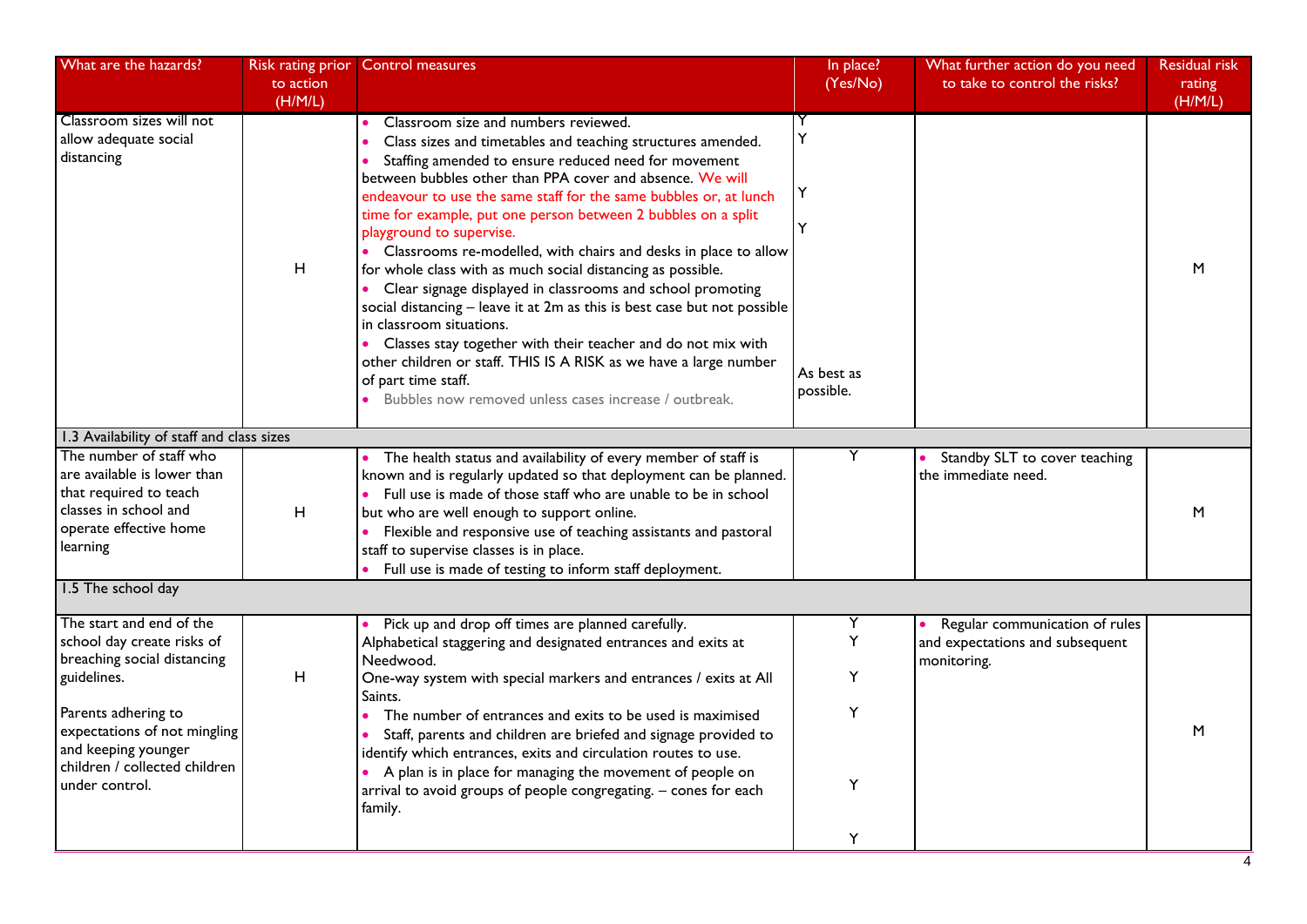| What are the hazards?                                                                                                                                                                                                                 | to action<br>(H/M/L) | Risk rating prior Control measures                                                                                                                                                                                                                                                                                                                                                                                                                                                                                                                                                                                                                                                                                                                                                                                                                                                                                                         | In place?<br>(Yes/No)             | What further action do you need<br>to take to control the risks?                 | Residual risk<br>rating<br>(H/M/L) |
|---------------------------------------------------------------------------------------------------------------------------------------------------------------------------------------------------------------------------------------|----------------------|--------------------------------------------------------------------------------------------------------------------------------------------------------------------------------------------------------------------------------------------------------------------------------------------------------------------------------------------------------------------------------------------------------------------------------------------------------------------------------------------------------------------------------------------------------------------------------------------------------------------------------------------------------------------------------------------------------------------------------------------------------------------------------------------------------------------------------------------------------------------------------------------------------------------------------------------|-----------------------------------|----------------------------------------------------------------------------------|------------------------------------|
| Classroom sizes will not<br>allow adequate social<br>distancing                                                                                                                                                                       | H                    | Classroom size and numbers reviewed.<br>Class sizes and timetables and teaching structures amended.<br>Staffing amended to ensure reduced need for movement<br>$\bullet$<br>between bubbles other than PPA cover and absence. We will<br>endeavour to use the same staff for the same bubbles or, at lunch<br>time for example, put one person between 2 bubbles on a split<br>playground to supervise.<br>• Classrooms re-modelled, with chairs and desks in place to allow<br>for whole class with as much social distancing as possible.<br>• Clear signage displayed in classrooms and school promoting<br>social distancing - leave it at 2m as this is best case but not possible<br>in classroom situations.<br>• Classes stay together with their teacher and do not mix with<br>other children or staff. THIS IS A RISK as we have a large number<br>of part time staff.<br>Bubbles now removed unless cases increase / outbreak. | Υ<br>Y<br>As best as<br>possible. |                                                                                  | M                                  |
| 1.3 Availability of staff and class sizes                                                                                                                                                                                             |                      |                                                                                                                                                                                                                                                                                                                                                                                                                                                                                                                                                                                                                                                                                                                                                                                                                                                                                                                                            |                                   |                                                                                  |                                    |
| The number of staff who<br>are available is lower than<br>that required to teach<br>classes in school and<br>operate effective home<br>learning                                                                                       | H                    | The health status and availability of every member of staff is<br>known and is regularly updated so that deployment can be planned.<br>• Full use is made of those staff who are unable to be in school<br>but who are well enough to support online.<br>Flexible and responsive use of teaching assistants and pastoral<br>staff to supervise classes is in place.<br>Full use is made of testing to inform staff deployment.                                                                                                                                                                                                                                                                                                                                                                                                                                                                                                             | Y                                 | Standby SLT to cover teaching<br>the immediate need.                             | M                                  |
| 1.5 The school day                                                                                                                                                                                                                    |                      |                                                                                                                                                                                                                                                                                                                                                                                                                                                                                                                                                                                                                                                                                                                                                                                                                                                                                                                                            |                                   |                                                                                  |                                    |
| The start and end of the<br>school day create risks of<br>breaching social distancing<br>guidelines.<br>Parents adhering to<br>expectations of not mingling<br>and keeping younger<br>children / collected children<br>under control. | H                    | Pick up and drop off times are planned carefully.<br>Alphabetical staggering and designated entrances and exits at<br>Needwood.<br>One-way system with special markers and entrances / exits at All<br>Saints.<br>The number of entrances and exits to be used is maximised<br>Staff, parents and children are briefed and signage provided to<br>identify which entrances, exits and circulation routes to use.<br>• A plan is in place for managing the movement of people on<br>arrival to avoid groups of people congregating. - cones for each<br>family.                                                                                                                                                                                                                                                                                                                                                                             | Y<br>Y<br>Υ<br>Υ<br>Y<br>Y        | Regular communication of rules<br>and expectations and subsequent<br>monitoring. | M                                  |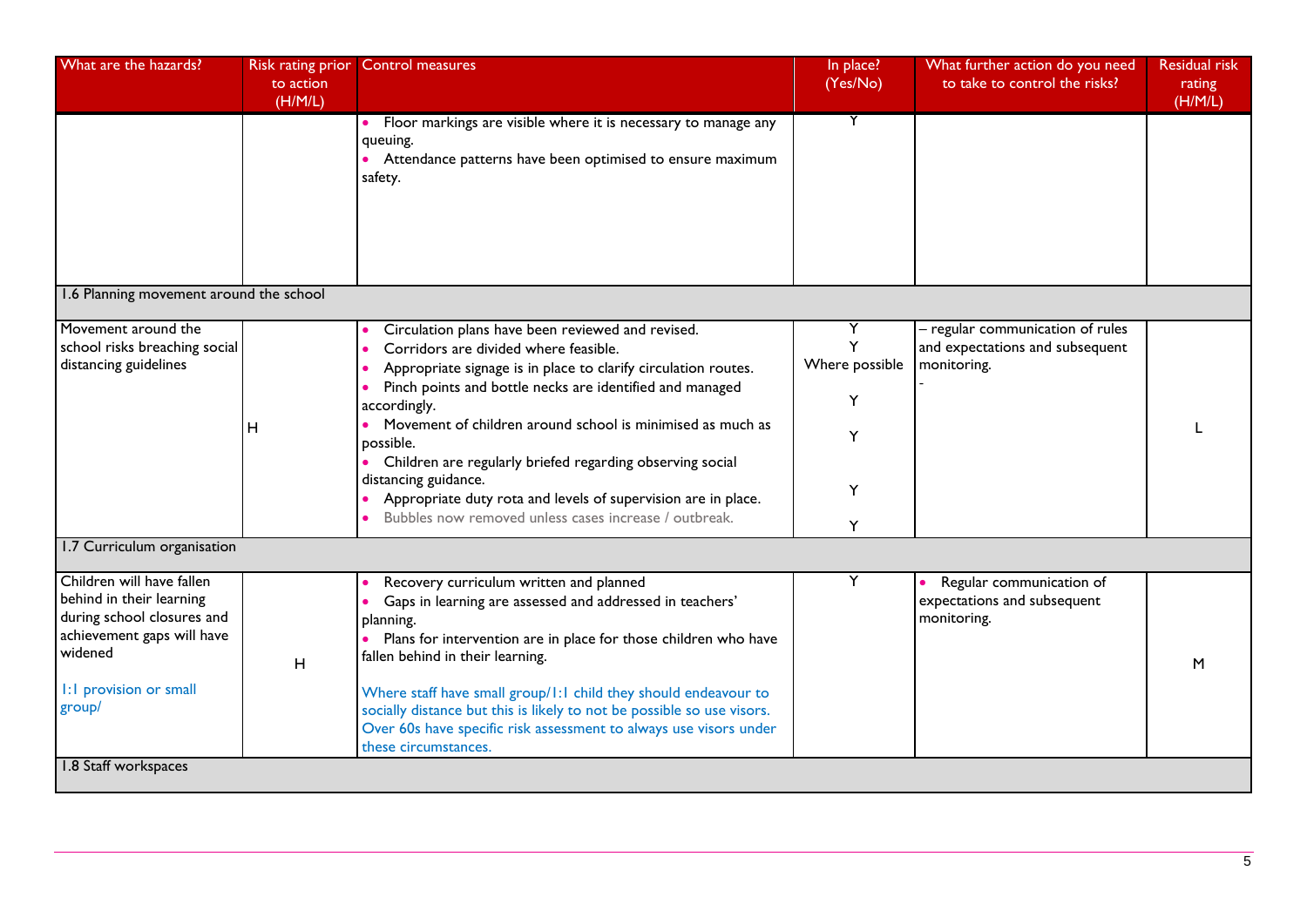| What are the hazards?                                                                                                                                            | Risk rating prior    | <b>Control measures</b>                                                                                                                                                                                                                                                                                                                                                                                                                                                                                                                           | In place?                               | What further action do you need                                                    | <b>Residual risk</b> |
|------------------------------------------------------------------------------------------------------------------------------------------------------------------|----------------------|---------------------------------------------------------------------------------------------------------------------------------------------------------------------------------------------------------------------------------------------------------------------------------------------------------------------------------------------------------------------------------------------------------------------------------------------------------------------------------------------------------------------------------------------------|-----------------------------------------|------------------------------------------------------------------------------------|----------------------|
|                                                                                                                                                                  | to action<br>(H/M/L) |                                                                                                                                                                                                                                                                                                                                                                                                                                                                                                                                                   | (Yes/No)                                | to take to control the risks?                                                      | rating<br>(H/M/L)    |
|                                                                                                                                                                  |                      | Floor markings are visible where it is necessary to manage any<br>queuing.<br>Attendance patterns have been optimised to ensure maximum<br>safety.                                                                                                                                                                                                                                                                                                                                                                                                | Y                                       |                                                                                    |                      |
| 1.6 Planning movement around the school                                                                                                                          |                      |                                                                                                                                                                                                                                                                                                                                                                                                                                                                                                                                                   |                                         |                                                                                    |                      |
| Movement around the<br>school risks breaching social<br>distancing guidelines                                                                                    | н                    | Circulation plans have been reviewed and revised.<br>Corridors are divided where feasible.<br>Appropriate signage is in place to clarify circulation routes.<br>Pinch points and bottle necks are identified and managed<br>accordingly.<br>Movement of children around school is minimised as much as<br>$\bullet$<br>possible.<br>• Children are regularly briefed regarding observing social<br>distancing guidance.<br>Appropriate duty rota and levels of supervision are in place.<br>Bubbles now removed unless cases increase / outbreak. | Y<br>Where possible<br>Y<br>Y<br>Y<br>Y | - regular communication of rules<br>and expectations and subsequent<br>monitoring. |                      |
| 1.7 Curriculum organisation                                                                                                                                      |                      |                                                                                                                                                                                                                                                                                                                                                                                                                                                                                                                                                   |                                         |                                                                                    |                      |
| Children will have fallen<br>behind in their learning<br>during school closures and<br>achievement gaps will have<br>widened<br>1:1 provision or small<br>group/ | H                    | Recovery curriculum written and planned<br>Gaps in learning are assessed and addressed in teachers'<br>planning.<br>Plans for intervention are in place for those children who have<br>fallen behind in their learning.<br>Where staff have small group/1:1 child they should endeavour to<br>socially distance but this is likely to not be possible so use visors.<br>Over 60s have specific risk assessment to always use visors under<br>these circumstances.                                                                                 | Y                                       | Regular communication of<br>expectations and subsequent<br>monitoring.             | M                    |
| 1.8 Staff workspaces                                                                                                                                             |                      |                                                                                                                                                                                                                                                                                                                                                                                                                                                                                                                                                   |                                         |                                                                                    |                      |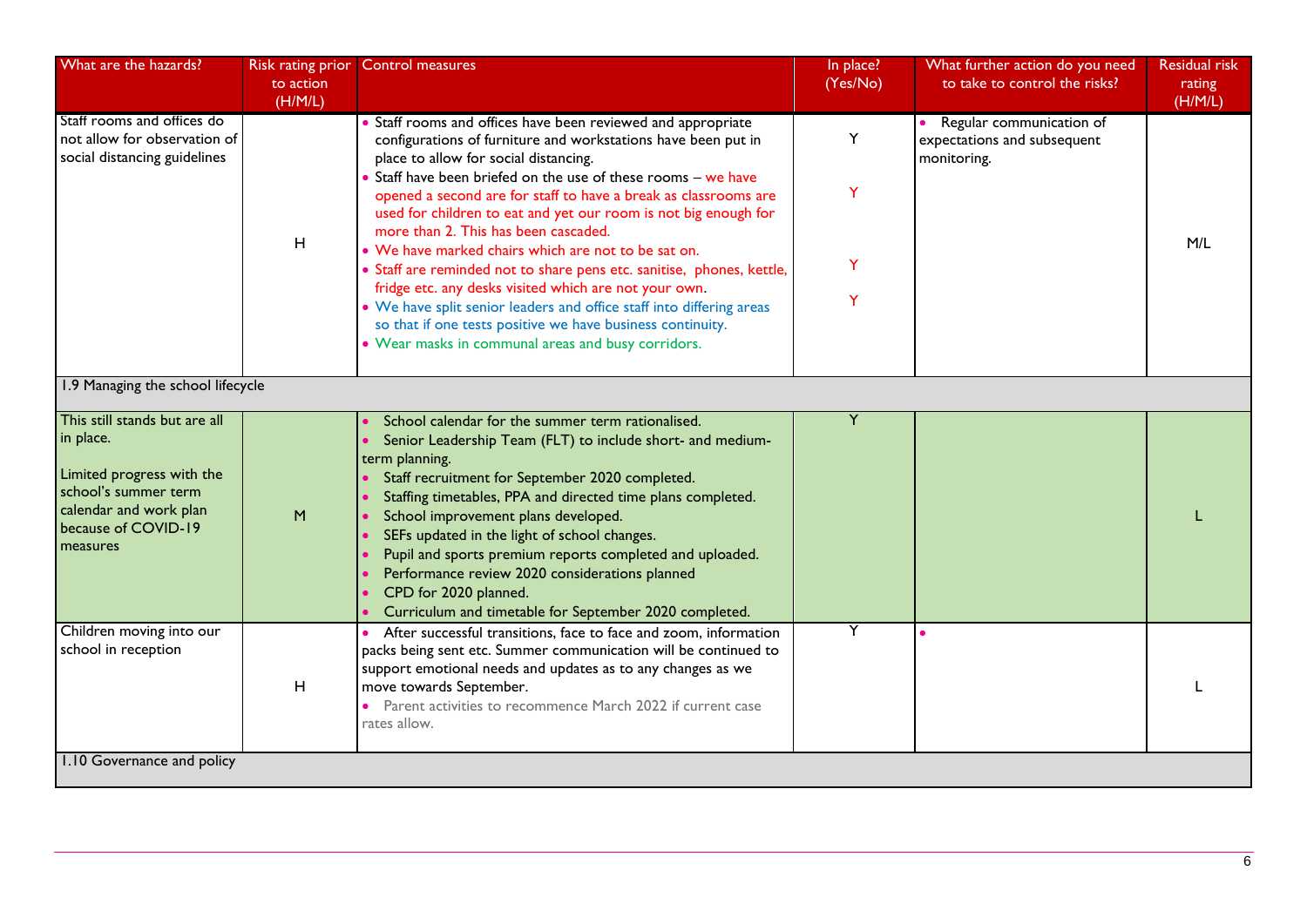| What are the hazards?                                                                                                                                        | Risk rating prior<br>to action<br>(H/M/L) | <b>Control measures</b>                                                                                                                                                                                                                                                                                                                                                                                                                                                                                                                                                                                                                                                                                                                                                                                | In place?<br>(Yes/No) | What further action do you need<br>to take to control the risks?         | <b>Residual risk</b><br>rating<br>(H/M/L) |
|--------------------------------------------------------------------------------------------------------------------------------------------------------------|-------------------------------------------|--------------------------------------------------------------------------------------------------------------------------------------------------------------------------------------------------------------------------------------------------------------------------------------------------------------------------------------------------------------------------------------------------------------------------------------------------------------------------------------------------------------------------------------------------------------------------------------------------------------------------------------------------------------------------------------------------------------------------------------------------------------------------------------------------------|-----------------------|--------------------------------------------------------------------------|-------------------------------------------|
| Staff rooms and offices do<br>not allow for observation of<br>social distancing guidelines                                                                   | $\mathsf H$                               | Staff rooms and offices have been reviewed and appropriate<br>configurations of furniture and workstations have been put in<br>place to allow for social distancing.<br>Staff have been briefed on the use of these rooms - we have<br>opened a second are for staff to have a break as classrooms are<br>used for children to eat and yet our room is not big enough for<br>more than 2. This has been cascaded.<br>• We have marked chairs which are not to be sat on.<br>• Staff are reminded not to share pens etc. sanitise, phones, kettle,<br>fridge etc. any desks visited which are not your own.<br>• We have split senior leaders and office staff into differing areas<br>so that if one tests positive we have business continuity.<br>• Wear masks in communal areas and busy corridors. | Y<br>Y<br>Y<br>Y      | • Regular communication of<br>expectations and subsequent<br>monitoring. | M/L                                       |
| 1.9 Managing the school lifecycle                                                                                                                            |                                           |                                                                                                                                                                                                                                                                                                                                                                                                                                                                                                                                                                                                                                                                                                                                                                                                        |                       |                                                                          |                                           |
| This still stands but are all<br>in place.<br>Limited progress with the<br>school's summer term<br>calendar and work plan<br>because of COVID-19<br>measures | M                                         | School calendar for the summer term rationalised.<br>Senior Leadership Team (FLT) to include short- and medium-<br>term planning.<br>Staff recruitment for September 2020 completed.<br>Staffing timetables, PPA and directed time plans completed.<br>School improvement plans developed.<br>SEFs updated in the light of school changes.<br>Pupil and sports premium reports completed and uploaded.<br>Performance review 2020 considerations planned<br>CPD for 2020 planned.<br>Curriculum and timetable for September 2020 completed.                                                                                                                                                                                                                                                            | Y                     |                                                                          |                                           |
| Children moving into our<br>school in reception                                                                                                              | H                                         | After successful transitions, face to face and zoom, information<br>packs being sent etc. Summer communication will be continued to<br>support emotional needs and updates as to any changes as we<br>move towards September.<br>• Parent activities to recommence March 2022 if current case<br>rates allow.                                                                                                                                                                                                                                                                                                                                                                                                                                                                                          | Y                     |                                                                          |                                           |
| 1.10 Governance and policy                                                                                                                                   |                                           |                                                                                                                                                                                                                                                                                                                                                                                                                                                                                                                                                                                                                                                                                                                                                                                                        |                       |                                                                          |                                           |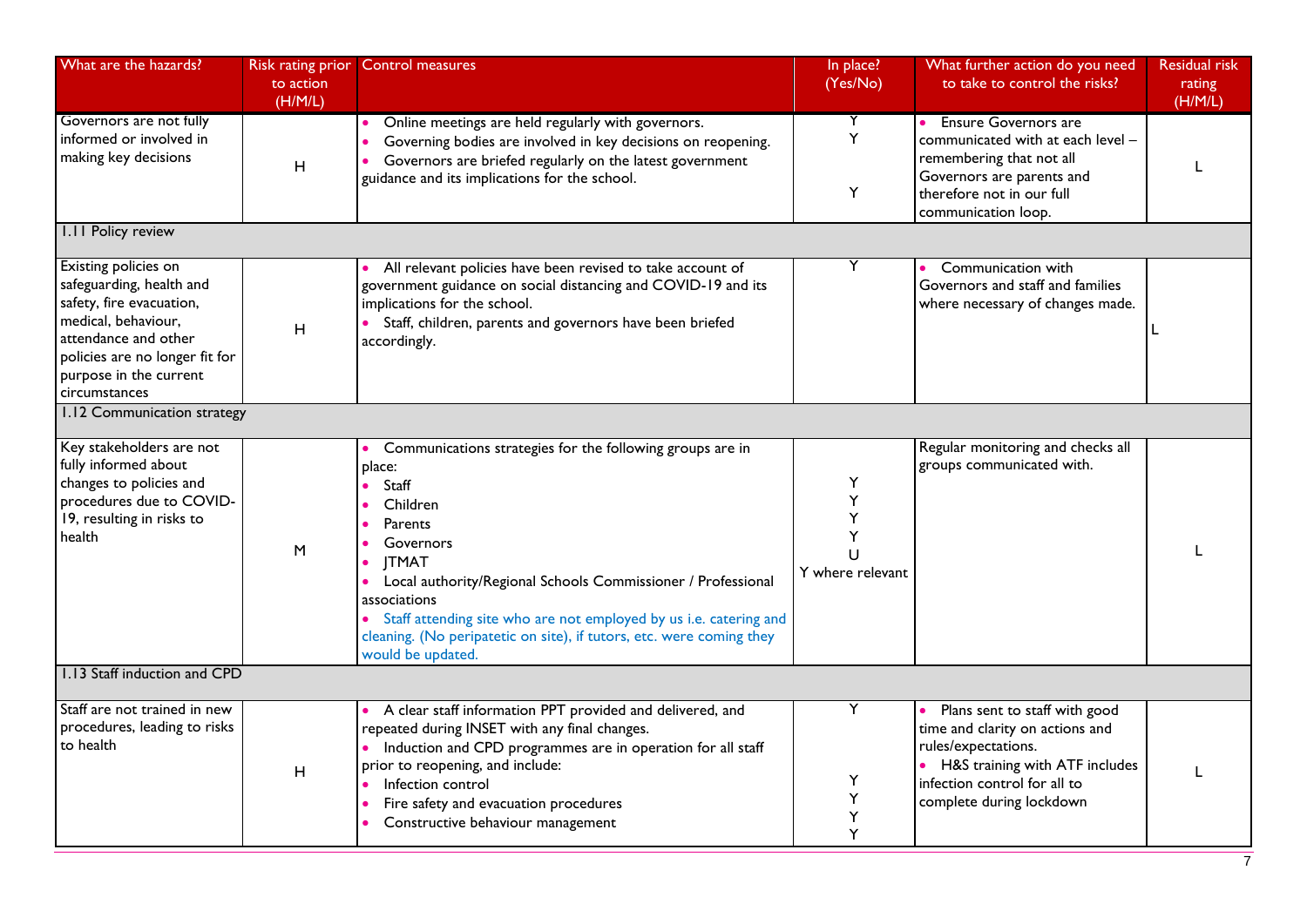| What are the hazards?                                                                                                                                                                                    | to action<br>(H/M/L) | Risk rating prior Control measures                                                                                                                                                                                                                                                                                                                                                                | In place?<br>(Yes/No)                     | What further action do you need<br>to take to control the risks?                                                                                                                          | <b>Residual risk</b><br>rating<br>(H/M/L) |
|----------------------------------------------------------------------------------------------------------------------------------------------------------------------------------------------------------|----------------------|---------------------------------------------------------------------------------------------------------------------------------------------------------------------------------------------------------------------------------------------------------------------------------------------------------------------------------------------------------------------------------------------------|-------------------------------------------|-------------------------------------------------------------------------------------------------------------------------------------------------------------------------------------------|-------------------------------------------|
| Governors are not fully<br>informed or involved in<br>making key decisions                                                                                                                               | H                    | Online meetings are held regularly with governors.<br>Governing bodies are involved in key decisions on reopening.<br>Governors are briefed regularly on the latest government<br>guidance and its implications for the school.                                                                                                                                                                   | Y<br>Y<br>Y                               | <b>Ensure Governors are</b><br>communicated with at each level -<br>remembering that not all<br>Governors are parents and<br>therefore not in our full<br>communication loop.             |                                           |
| I.II Policy review                                                                                                                                                                                       |                      |                                                                                                                                                                                                                                                                                                                                                                                                   |                                           |                                                                                                                                                                                           |                                           |
| Existing policies on<br>safeguarding, health and<br>safety, fire evacuation,<br>medical, behaviour,<br>attendance and other<br>policies are no longer fit for<br>purpose in the current<br>circumstances | н                    | All relevant policies have been revised to take account of<br>government guidance on social distancing and COVID-19 and its<br>implications for the school.<br>• Staff, children, parents and governors have been briefed<br>accordingly.                                                                                                                                                         | Y                                         | • Communication with<br>Governors and staff and families<br>where necessary of changes made.                                                                                              |                                           |
| 1.12 Communication strategy                                                                                                                                                                              |                      |                                                                                                                                                                                                                                                                                                                                                                                                   |                                           |                                                                                                                                                                                           |                                           |
| Key stakeholders are not<br>fully informed about<br>changes to policies and<br>procedures due to COVID-<br>19, resulting in risks to<br>health                                                           | M                    | Communications strategies for the following groups are in<br>place:<br>Staff<br>Children<br>Parents<br>$\bullet$<br>Governors<br><b>JTMAT</b><br>Local authority/Regional Schools Commissioner / Professional<br>associations<br>• Staff attending site who are not employed by us i.e. catering and<br>cleaning. (No peripatetic on site), if tutors, etc. were coming they<br>would be updated. | Υ<br>Υ<br>Υ<br>Y<br>U<br>Y where relevant | Regular monitoring and checks all<br>groups communicated with.                                                                                                                            |                                           |
| 1.13 Staff induction and CPD                                                                                                                                                                             |                      |                                                                                                                                                                                                                                                                                                                                                                                                   |                                           |                                                                                                                                                                                           |                                           |
| Staff are not trained in new<br>procedures, leading to risks<br>to health                                                                                                                                | H                    | • A clear staff information PPT provided and delivered, and<br>repeated during INSET with any final changes.<br>• Induction and CPD programmes are in operation for all staff<br>prior to reopening, and include:<br>Infection control<br>Fire safety and evacuation procedures<br>Constructive behaviour management                                                                              | Υ<br>Y<br>Υ<br>Υ<br>Y                     | • Plans sent to staff with good<br>time and clarity on actions and<br>rules/expectations.<br>• H&S training with ATF includes<br>infection control for all to<br>complete during lockdown |                                           |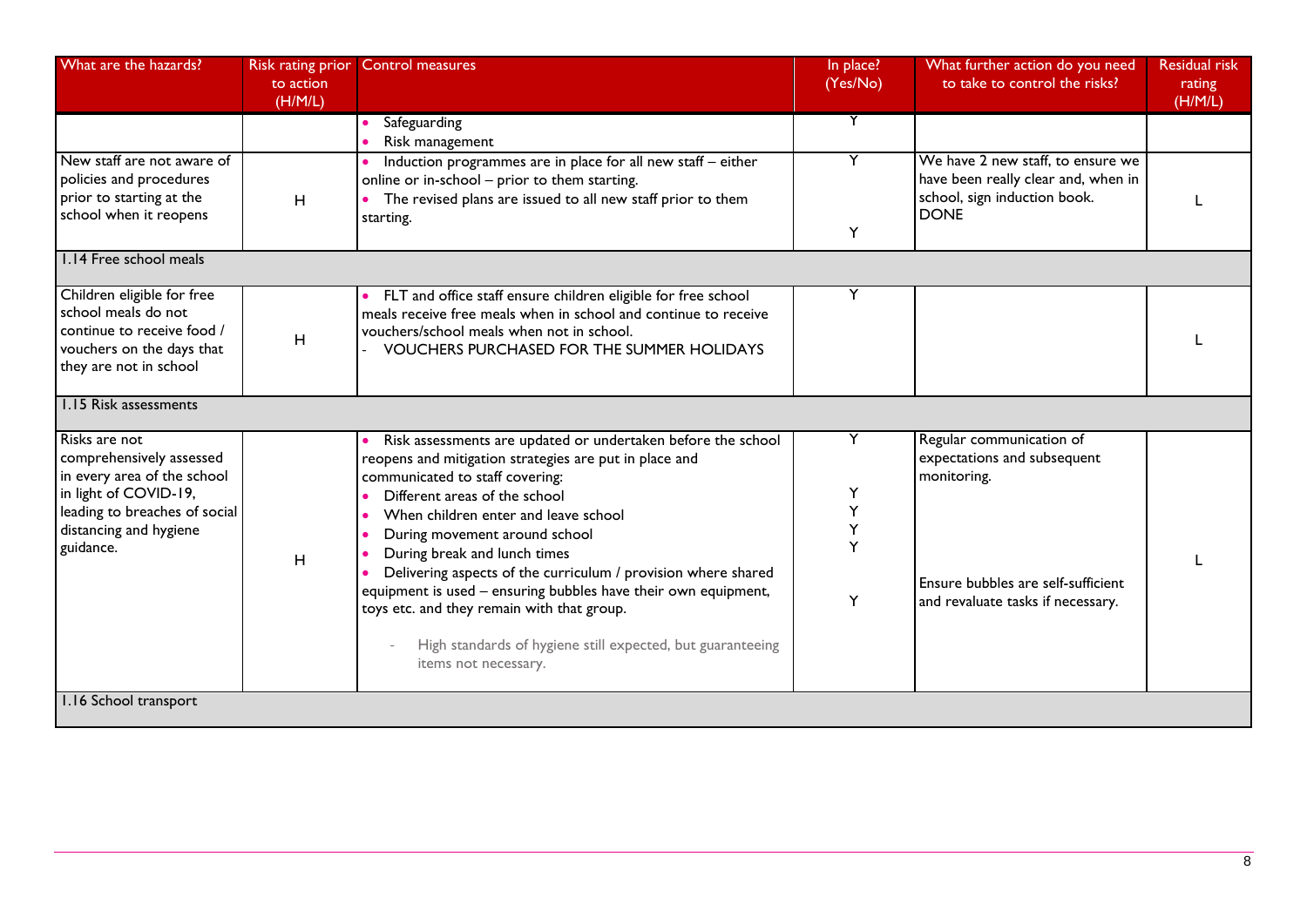| What are the hazards?                                                                                                                                                     | Risk rating prior<br>to action<br>(H/M/L) | <b>Control measures</b>                                                                                                                                                                                                                                                                                                                                                                                                                                                                                                                                                    | In place?<br>(Yes/No)      | What further action do you need<br>to take to control the risks?                                                                                  | <b>Residual risk</b><br>rating<br>(H/M/L) |
|---------------------------------------------------------------------------------------------------------------------------------------------------------------------------|-------------------------------------------|----------------------------------------------------------------------------------------------------------------------------------------------------------------------------------------------------------------------------------------------------------------------------------------------------------------------------------------------------------------------------------------------------------------------------------------------------------------------------------------------------------------------------------------------------------------------------|----------------------------|---------------------------------------------------------------------------------------------------------------------------------------------------|-------------------------------------------|
|                                                                                                                                                                           |                                           | Safeguarding<br>Risk management                                                                                                                                                                                                                                                                                                                                                                                                                                                                                                                                            |                            |                                                                                                                                                   |                                           |
| New staff are not aware of<br>policies and procedures<br>prior to starting at the<br>school when it reopens                                                               | H                                         | Induction programmes are in place for all new staff - either<br>online or in-school - prior to them starting.<br>The revised plans are issued to all new staff prior to them<br>starting.                                                                                                                                                                                                                                                                                                                                                                                  | Υ                          | We have 2 new staff, to ensure we<br>have been really clear and, when in<br>school, sign induction book.<br><b>DONE</b>                           |                                           |
| 1.14 Free school meals                                                                                                                                                    |                                           |                                                                                                                                                                                                                                                                                                                                                                                                                                                                                                                                                                            |                            |                                                                                                                                                   |                                           |
| Children eligible for free<br>school meals do not<br>continue to receive food /<br>vouchers on the days that<br>they are not in school                                    | H                                         | • FLT and office staff ensure children eligible for free school<br>meals receive free meals when in school and continue to receive<br>vouchers/school meals when not in school.<br><b>VOUCHERS PURCHASED FOR THE SUMMER HOLIDAYS</b>                                                                                                                                                                                                                                                                                                                                       |                            |                                                                                                                                                   |                                           |
| 1.15 Risk assessments                                                                                                                                                     |                                           |                                                                                                                                                                                                                                                                                                                                                                                                                                                                                                                                                                            |                            |                                                                                                                                                   |                                           |
| Risks are not<br>comprehensively assessed<br>in every area of the school<br>in light of COVID-19,<br>leading to breaches of social<br>distancing and hygiene<br>guidance. | H                                         | Risk assessments are updated or undertaken before the school<br>reopens and mitigation strategies are put in place and<br>communicated to staff covering:<br>Different areas of the school<br>When children enter and leave school<br>During movement around school<br>During break and lunch times<br>Delivering aspects of the curriculum / provision where shared<br>equipment is used - ensuring bubbles have their own equipment,<br>toys etc. and they remain with that group.<br>High standards of hygiene still expected, but guaranteeing<br>items not necessary. | Y<br>Y<br>Υ<br>Υ<br>Y<br>Y | Regular communication of<br>expectations and subsequent<br>monitoring.<br>Ensure bubbles are self-sufficient<br>and revaluate tasks if necessary. |                                           |
| 1.16 School transport                                                                                                                                                     |                                           |                                                                                                                                                                                                                                                                                                                                                                                                                                                                                                                                                                            |                            |                                                                                                                                                   |                                           |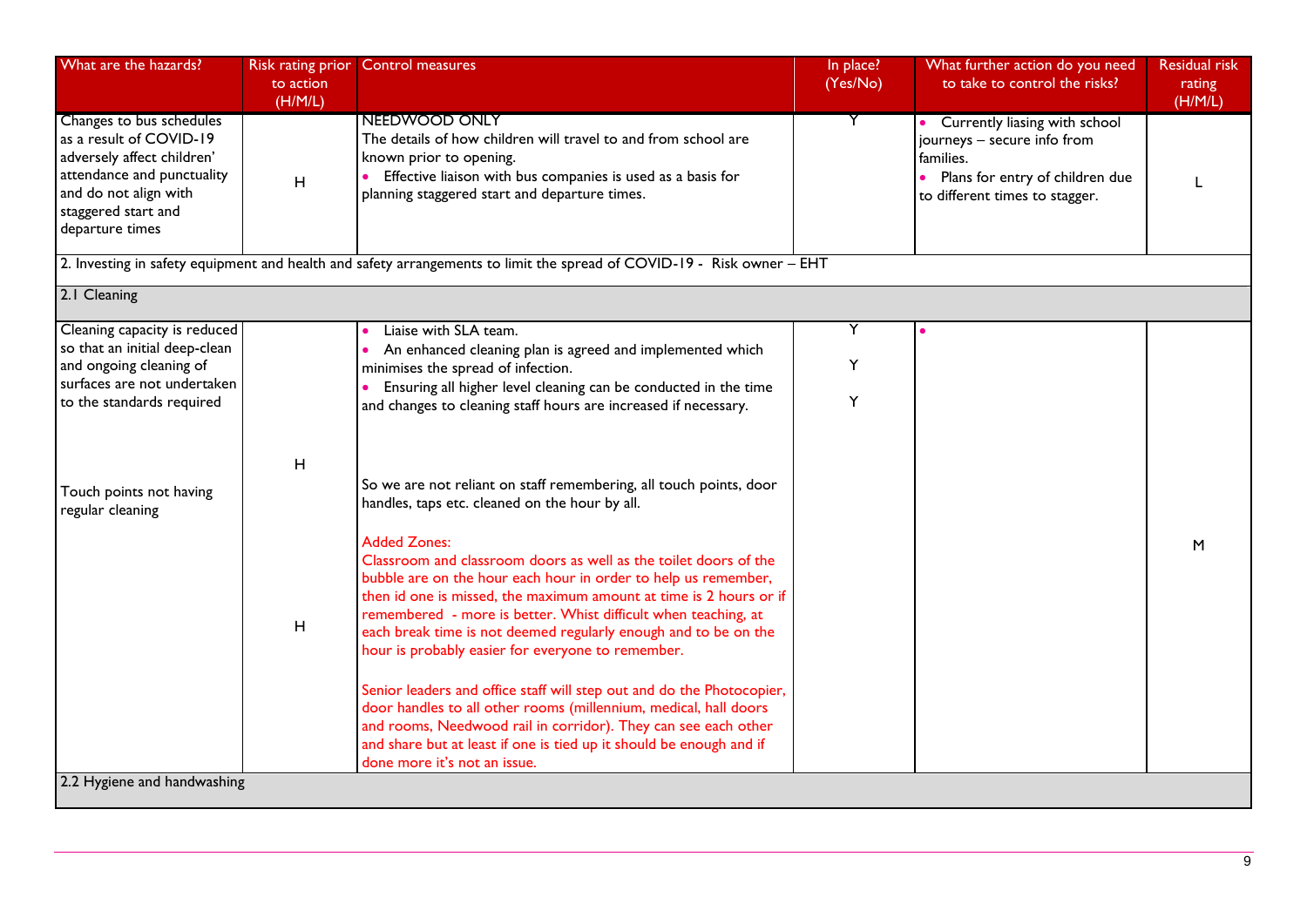| What are the hazards?                                                                                                                                                                               | Risk rating prior<br>to action<br>(H/M/L) | <b>Control measures</b>                                                                                                                                                                                                                                                                                                                                                                                                                                                                                                                                                                                                                                                                                                                                                                                                                                                                                                                                                                                                                                                                                                                   | In place?<br>(Yes/No) | What further action do you need<br>to take to control the risks?                                                                               | <b>Residual risk</b><br>rating<br>(H/M/L) |
|-----------------------------------------------------------------------------------------------------------------------------------------------------------------------------------------------------|-------------------------------------------|-------------------------------------------------------------------------------------------------------------------------------------------------------------------------------------------------------------------------------------------------------------------------------------------------------------------------------------------------------------------------------------------------------------------------------------------------------------------------------------------------------------------------------------------------------------------------------------------------------------------------------------------------------------------------------------------------------------------------------------------------------------------------------------------------------------------------------------------------------------------------------------------------------------------------------------------------------------------------------------------------------------------------------------------------------------------------------------------------------------------------------------------|-----------------------|------------------------------------------------------------------------------------------------------------------------------------------------|-------------------------------------------|
| Changes to bus schedules<br>as a result of COVID-19<br>adversely affect children'<br>attendance and punctuality<br>and do not align with<br>staggered start and<br>departure times                  | H                                         | NEEDWOOD ONLY<br>The details of how children will travel to and from school are<br>known prior to opening.<br>Effective liaison with bus companies is used as a basis for<br>planning staggered start and departure times.                                                                                                                                                                                                                                                                                                                                                                                                                                                                                                                                                                                                                                                                                                                                                                                                                                                                                                                | Y                     | Currently liasing with school<br>journeys - secure info from<br>families.<br>Plans for entry of children due<br>to different times to stagger. |                                           |
|                                                                                                                                                                                                     |                                           | 2. Investing in safety equipment and health and safety arrangements to limit the spread of COVID-19 - Risk owner - EHT                                                                                                                                                                                                                                                                                                                                                                                                                                                                                                                                                                                                                                                                                                                                                                                                                                                                                                                                                                                                                    |                       |                                                                                                                                                |                                           |
| 2.1 Cleaning                                                                                                                                                                                        |                                           |                                                                                                                                                                                                                                                                                                                                                                                                                                                                                                                                                                                                                                                                                                                                                                                                                                                                                                                                                                                                                                                                                                                                           |                       |                                                                                                                                                |                                           |
| Cleaning capacity is reduced<br>so that an initial deep-clean<br>and ongoing cleaning of<br>surfaces are not undertaken<br>to the standards required<br>Touch points not having<br>regular cleaning | H<br>H                                    | Liaise with SLA team.<br>An enhanced cleaning plan is agreed and implemented which<br>minimises the spread of infection.<br>Ensuring all higher level cleaning can be conducted in the time<br>and changes to cleaning staff hours are increased if necessary.<br>So we are not reliant on staff remembering, all touch points, door<br>handles, taps etc. cleaned on the hour by all.<br><b>Added Zones:</b><br>Classroom and classroom doors as well as the toilet doors of the<br>bubble are on the hour each hour in order to help us remember,<br>then id one is missed, the maximum amount at time is 2 hours or if<br>remembered - more is better. Whist difficult when teaching, at<br>each break time is not deemed regularly enough and to be on the<br>hour is probably easier for everyone to remember.<br>Senior leaders and office staff will step out and do the Photocopier,<br>door handles to all other rooms (millennium, medical, hall doors<br>and rooms, Needwood rail in corridor). They can see each other<br>and share but at least if one is tied up it should be enough and if<br>done more it's not an issue. | Υ<br>Υ<br>Y           |                                                                                                                                                | M                                         |
| 2.2 Hygiene and handwashing                                                                                                                                                                         |                                           |                                                                                                                                                                                                                                                                                                                                                                                                                                                                                                                                                                                                                                                                                                                                                                                                                                                                                                                                                                                                                                                                                                                                           |                       |                                                                                                                                                |                                           |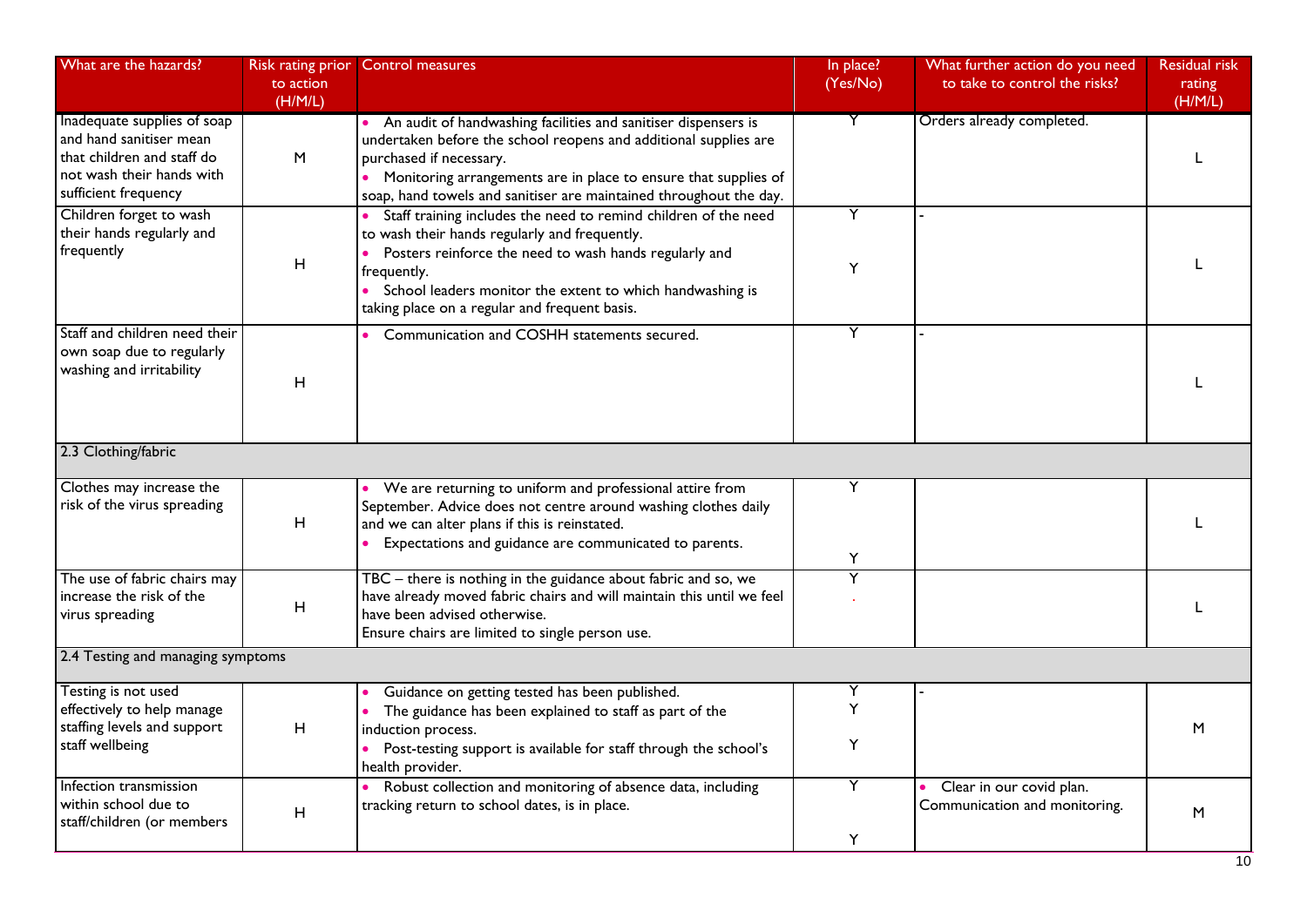| What are the hazards?                                                                                                                     | <b>Risk rating prior</b><br>to action<br>(H/M/L) | <b>Control measures</b>                                                                                                                                                                                                                                                                                   | In place?<br>(Yes/No) | What further action do you need<br>to take to control the risks? | <b>Residual risk</b><br>rating<br>(H/M/L) |
|-------------------------------------------------------------------------------------------------------------------------------------------|--------------------------------------------------|-----------------------------------------------------------------------------------------------------------------------------------------------------------------------------------------------------------------------------------------------------------------------------------------------------------|-----------------------|------------------------------------------------------------------|-------------------------------------------|
| Inadequate supplies of soap<br>and hand sanitiser mean<br>that children and staff do<br>not wash their hands with<br>sufficient frequency | M                                                | An audit of handwashing facilities and sanitiser dispensers is<br>undertaken before the school reopens and additional supplies are<br>purchased if necessary.<br>• Monitoring arrangements are in place to ensure that supplies of<br>soap, hand towels and sanitiser are maintained throughout the day.  | Y                     | Orders already completed.                                        |                                           |
| Children forget to wash<br>their hands regularly and<br>frequently                                                                        | $\boldsymbol{\mathsf{H}}$                        | Staff training includes the need to remind children of the need<br>to wash their hands regularly and frequently.<br>Posters reinforce the need to wash hands regularly and<br>frequently.<br>• School leaders monitor the extent to which handwashing is<br>taking place on a regular and frequent basis. | Y<br>Y                |                                                                  |                                           |
| Staff and children need their<br>own soap due to regularly<br>washing and irritability                                                    | H                                                | Communication and COSHH statements secured.                                                                                                                                                                                                                                                               | Υ                     |                                                                  |                                           |
| 2.3 Clothing/fabric                                                                                                                       |                                                  |                                                                                                                                                                                                                                                                                                           |                       |                                                                  |                                           |
| Clothes may increase the<br>risk of the virus spreading                                                                                   | H                                                | We are returning to uniform and professional attire from<br>September. Advice does not centre around washing clothes daily<br>and we can alter plans if this is reinstated.<br>Expectations and guidance are communicated to parents.                                                                     | Y<br>Υ                |                                                                  |                                           |
| The use of fabric chairs may<br>increase the risk of the<br>virus spreading                                                               | H                                                | TBC - there is nothing in the guidance about fabric and so, we<br>have already moved fabric chairs and will maintain this until we feel<br>have been advised otherwise.<br>Ensure chairs are limited to single person use.                                                                                | Y                     |                                                                  |                                           |
| 2.4 Testing and managing symptoms                                                                                                         |                                                  |                                                                                                                                                                                                                                                                                                           |                       |                                                                  |                                           |
| Testing is not used<br>effectively to help manage<br>staffing levels and support<br>staff wellbeing                                       | H                                                | Guidance on getting tested has been published.<br>The guidance has been explained to staff as part of the<br>induction process.<br>Post-testing support is available for staff through the school's<br>health provider.                                                                                   | Υ<br>Y<br>Υ           |                                                                  | M                                         |
| Infection transmission<br>within school due to<br>staff/children (or members                                                              | H                                                | Robust collection and monitoring of absence data, including<br>tracking return to school dates, is in place.                                                                                                                                                                                              | Y<br>Y                | Clear in our covid plan.<br>Communication and monitoring.        | M                                         |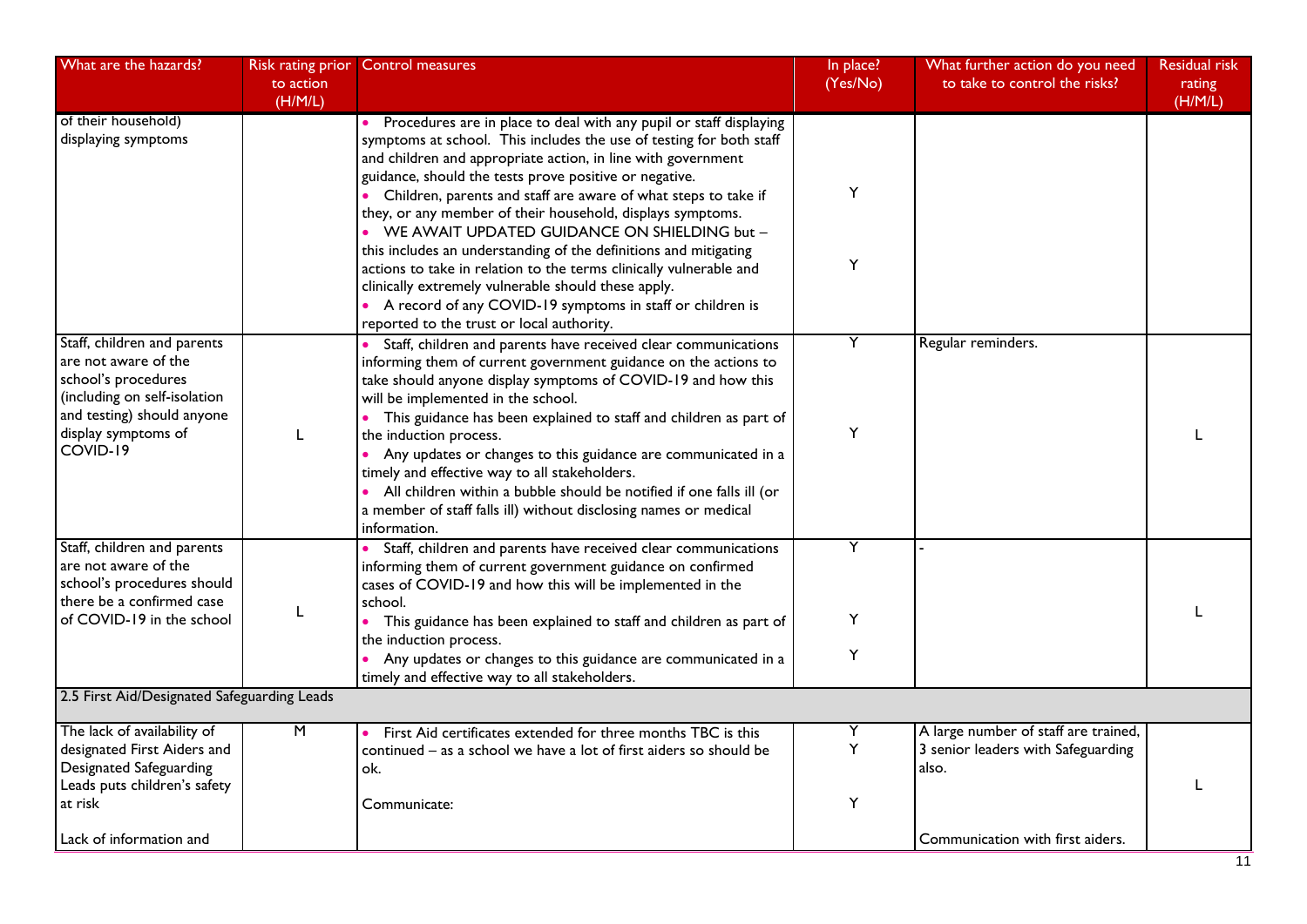| What are the hazards?                                                                                                                                                                                      | Risk rating prior<br>to action<br>(H/M/L) | <b>Control measures</b>                                                                                                                                                                                                                                                                                                                                                                                                                                                                                                                                                                                                                                                                                                                                            | In place?<br>(Yes/No) | What further action do you need<br>to take to control the risks?                                                        | <b>Residual risk</b><br>rating<br>(H/M/L) |
|------------------------------------------------------------------------------------------------------------------------------------------------------------------------------------------------------------|-------------------------------------------|--------------------------------------------------------------------------------------------------------------------------------------------------------------------------------------------------------------------------------------------------------------------------------------------------------------------------------------------------------------------------------------------------------------------------------------------------------------------------------------------------------------------------------------------------------------------------------------------------------------------------------------------------------------------------------------------------------------------------------------------------------------------|-----------------------|-------------------------------------------------------------------------------------------------------------------------|-------------------------------------------|
| of their household)<br>displaying symptoms                                                                                                                                                                 |                                           | Procedures are in place to deal with any pupil or staff displaying<br>symptoms at school. This includes the use of testing for both staff<br>and children and appropriate action, in line with government<br>guidance, should the tests prove positive or negative.<br>Children, parents and staff are aware of what steps to take if<br>they, or any member of their household, displays symptoms.<br>• WE AWAIT UPDATED GUIDANCE ON SHIELDING but -<br>this includes an understanding of the definitions and mitigating<br>actions to take in relation to the terms clinically vulnerable and<br>clinically extremely vulnerable should these apply.<br>• A record of any COVID-19 symptoms in staff or children is<br>reported to the trust or local authority. | Y<br>Υ                |                                                                                                                         |                                           |
| Staff, children and parents<br>are not aware of the<br>school's procedures<br>(including on self-isolation<br>and testing) should anyone<br>display symptoms of<br>COVID-19                                | L                                         | Staff, children and parents have received clear communications<br>informing them of current government guidance on the actions to<br>take should anyone display symptoms of COVID-19 and how this<br>will be implemented in the school.<br>• This guidance has been explained to staff and children as part of<br>the induction process.<br>Any updates or changes to this guidance are communicated in a<br>$\bullet$<br>timely and effective way to all stakeholders.<br>• All children within a bubble should be notified if one falls ill (or<br>a member of staff falls ill) without disclosing names or medical<br>information.                                                                                                                              | Y<br>Y                | Regular reminders.                                                                                                      |                                           |
| Staff, children and parents<br>are not aware of the<br>school's procedures should<br>there be a confirmed case<br>of COVID-19 in the school                                                                | L                                         | Staff, children and parents have received clear communications<br>informing them of current government guidance on confirmed<br>cases of COVID-19 and how this will be implemented in the<br>school.<br>This guidance has been explained to staff and children as part of<br>the induction process.<br>Any updates or changes to this guidance are communicated in a<br>timely and effective way to all stakeholders.                                                                                                                                                                                                                                                                                                                                              | Y<br>Y<br>Y           |                                                                                                                         |                                           |
| 2.5 First Aid/Designated Safeguarding Leads<br>The lack of availability of<br>designated First Aiders and<br>Designated Safeguarding<br>Leads puts children's safety<br>at risk<br>Lack of information and | $\overline{M}$                            | First Aid certificates extended for three months TBC is this<br>continued - as a school we have a lot of first aiders so should be<br>ok.<br>Communicate:                                                                                                                                                                                                                                                                                                                                                                                                                                                                                                                                                                                                          | Υ<br>Y<br>Y           | A large number of staff are trained,<br>3 senior leaders with Safeguarding<br>also.<br>Communication with first aiders. |                                           |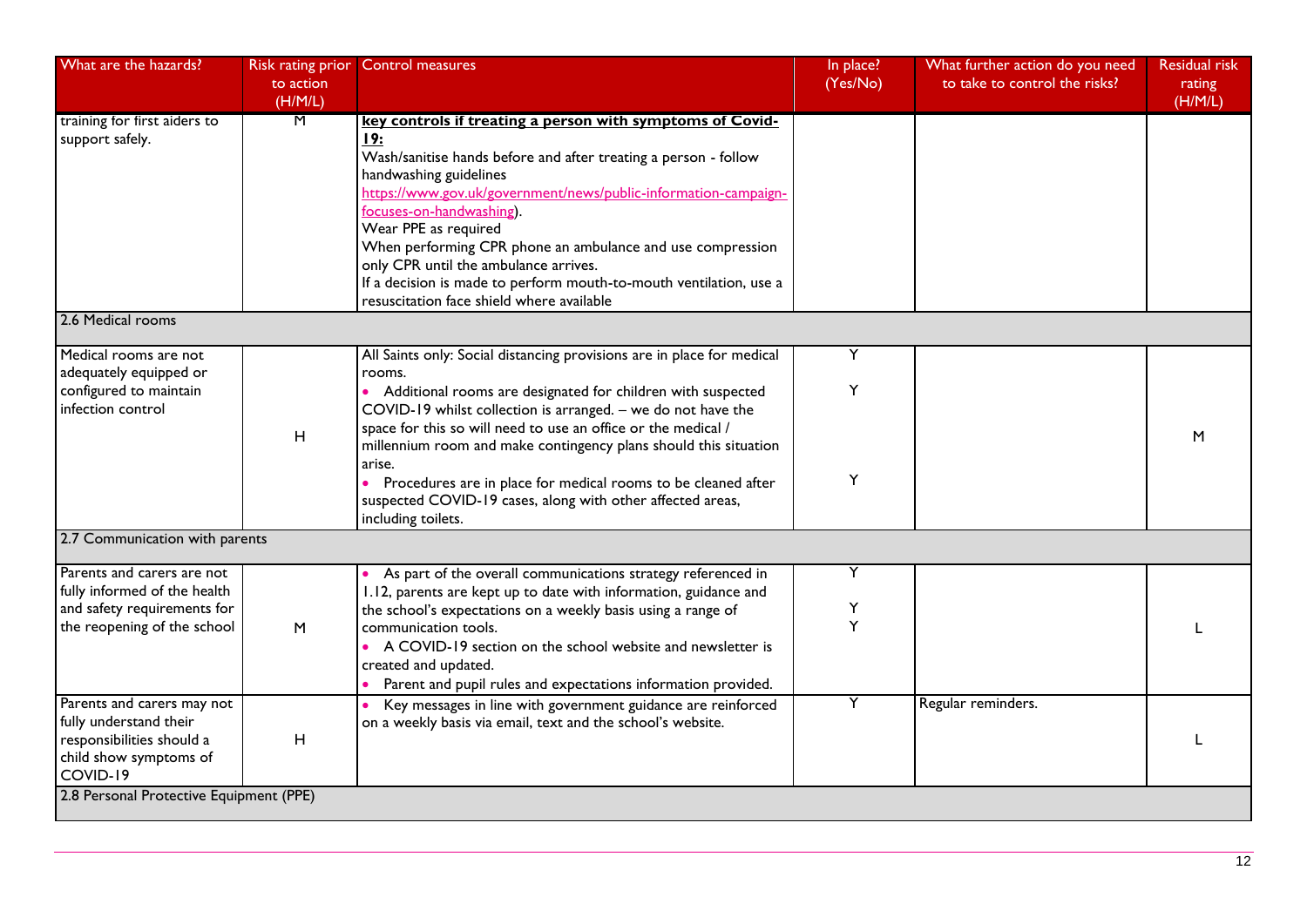| What are the hazards?                                                                                                    | Risk rating prior<br>to action<br>(H/M/L) | <b>Control measures</b>                                                                                                                                                                                                                                                                                                                                                                                                                                                                                               | In place?<br>(Yes/No) | What further action do you need<br>to take to control the risks? | <b>Residual risk</b><br>rating<br>(H/M/L) |
|--------------------------------------------------------------------------------------------------------------------------|-------------------------------------------|-----------------------------------------------------------------------------------------------------------------------------------------------------------------------------------------------------------------------------------------------------------------------------------------------------------------------------------------------------------------------------------------------------------------------------------------------------------------------------------------------------------------------|-----------------------|------------------------------------------------------------------|-------------------------------------------|
| training for first aiders to<br>support safely.                                                                          | M                                         | key controls if treating a person with symptoms of Covid-<br><u>19:</u><br>Wash/sanitise hands before and after treating a person - follow<br>handwashing guidelines<br>https://www.gov.uk/government/news/public-information-campaign-<br>focuses-on-handwashing).<br>Wear PPE as required<br>When performing CPR phone an ambulance and use compression<br>only CPR until the ambulance arrives.<br>If a decision is made to perform mouth-to-mouth ventilation, use a<br>resuscitation face shield where available |                       |                                                                  |                                           |
| 2.6 Medical rooms                                                                                                        |                                           |                                                                                                                                                                                                                                                                                                                                                                                                                                                                                                                       |                       |                                                                  |                                           |
| Medical rooms are not<br>adequately equipped or<br>configured to maintain<br>infection control                           | $\mathsf H$                               | All Saints only: Social distancing provisions are in place for medical<br>rooms.<br>• Additional rooms are designated for children with suspected<br>COVID-19 whilst collection is arranged. - we do not have the<br>space for this so will need to use an office or the medical /<br>millennium room and make contingency plans should this situation                                                                                                                                                                | Y<br>Y                |                                                                  | M                                         |
|                                                                                                                          |                                           | arise.<br>Procedures are in place for medical rooms to be cleaned after<br>suspected COVID-19 cases, along with other affected areas,<br>including toilets.                                                                                                                                                                                                                                                                                                                                                           | Υ                     |                                                                  |                                           |
| 2.7 Communication with parents                                                                                           |                                           |                                                                                                                                                                                                                                                                                                                                                                                                                                                                                                                       |                       |                                                                  |                                           |
| Parents and carers are not<br>fully informed of the health<br>and safety requirements for<br>the reopening of the school | M                                         | As part of the overall communications strategy referenced in<br>1.12, parents are kept up to date with information, guidance and<br>the school's expectations on a weekly basis using a range of<br>communication tools.<br>A COVID-19 section on the school website and newsletter is<br>created and updated.<br>Parent and pupil rules and expectations information provided.                                                                                                                                       | Y<br>Υ<br>Y           |                                                                  |                                           |
| Parents and carers may not<br>fully understand their<br>responsibilities should a<br>child show symptoms of<br>COVID-19  | $\mathsf H$                               | Key messages in line with government guidance are reinforced<br>on a weekly basis via email, text and the school's website.                                                                                                                                                                                                                                                                                                                                                                                           | Y                     | Regular reminders.                                               |                                           |
| 2.8 Personal Protective Equipment (PPE)                                                                                  |                                           |                                                                                                                                                                                                                                                                                                                                                                                                                                                                                                                       |                       |                                                                  |                                           |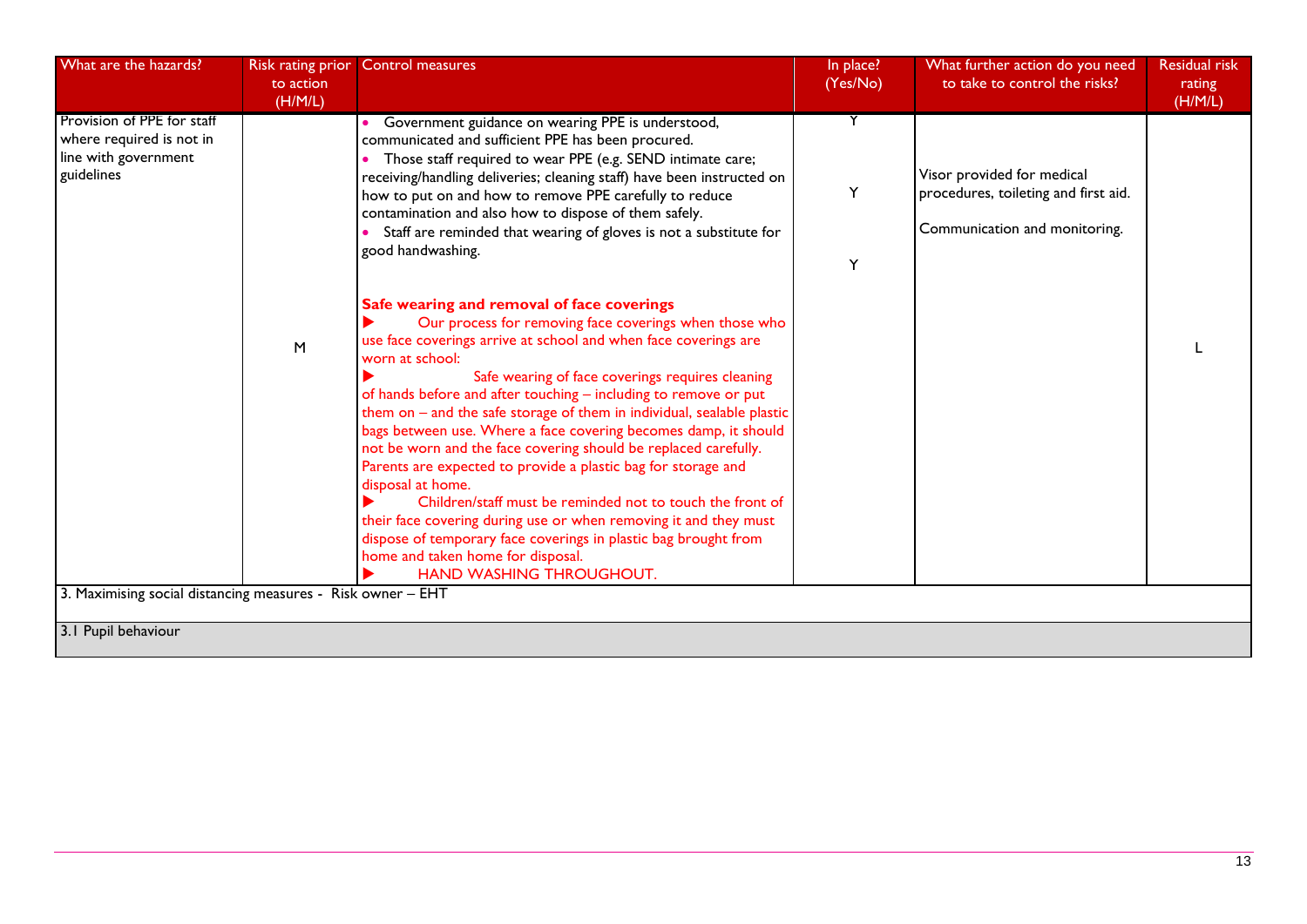| What are the hazards?                                                                        | Risk rating prior<br>to action | <b>Control measures</b>                                                                                                                                                                                                                                                                                                                                                                                                                                                                                                                                                                                                                                                                                                                                                                                                                                                                        | In place?<br>(Yes/No) | What further action do you need<br>to take to control the risks?                                    | <b>Residual risk</b><br>rating |
|----------------------------------------------------------------------------------------------|--------------------------------|------------------------------------------------------------------------------------------------------------------------------------------------------------------------------------------------------------------------------------------------------------------------------------------------------------------------------------------------------------------------------------------------------------------------------------------------------------------------------------------------------------------------------------------------------------------------------------------------------------------------------------------------------------------------------------------------------------------------------------------------------------------------------------------------------------------------------------------------------------------------------------------------|-----------------------|-----------------------------------------------------------------------------------------------------|--------------------------------|
|                                                                                              | (H/M/L)                        |                                                                                                                                                                                                                                                                                                                                                                                                                                                                                                                                                                                                                                                                                                                                                                                                                                                                                                |                       |                                                                                                     | (H/M/L)                        |
| Provision of PPE for staff<br>where required is not in<br>line with government<br>guidelines |                                | • Government guidance on wearing PPE is understood,<br>communicated and sufficient PPE has been procured.<br>• Those staff required to wear PPE (e.g. SEND intimate care;<br>receiving/handling deliveries; cleaning staff) have been instructed on<br>how to put on and how to remove PPE carefully to reduce<br>contamination and also how to dispose of them safely.<br>Staff are reminded that wearing of gloves is not a substitute for<br>good handwashing.                                                                                                                                                                                                                                                                                                                                                                                                                              | Y                     | Visor provided for medical<br>procedures, toileting and first aid.<br>Communication and monitoring. |                                |
| 3. Maximising social distancing measures - Risk owner - EHT                                  | M                              | Safe wearing and removal of face coverings<br>Our process for removing face coverings when those who<br>use face coverings arrive at school and when face coverings are<br>worn at school:<br>Safe wearing of face coverings requires cleaning<br>of hands before and after touching - including to remove or put<br>them on $-$ and the safe storage of them in individual, sealable plastic<br>bags between use. Where a face covering becomes damp, it should<br>not be worn and the face covering should be replaced carefully.<br>Parents are expected to provide a plastic bag for storage and<br>disposal at home.<br>Children/staff must be reminded not to touch the front of<br>their face covering during use or when removing it and they must<br>dispose of temporary face coverings in plastic bag brought from<br>home and taken home for disposal.<br>HAND WASHING THROUGHOUT. | Y                     |                                                                                                     |                                |
|                                                                                              |                                |                                                                                                                                                                                                                                                                                                                                                                                                                                                                                                                                                                                                                                                                                                                                                                                                                                                                                                |                       |                                                                                                     |                                |
| 3.1 Pupil behaviour                                                                          |                                |                                                                                                                                                                                                                                                                                                                                                                                                                                                                                                                                                                                                                                                                                                                                                                                                                                                                                                |                       |                                                                                                     |                                |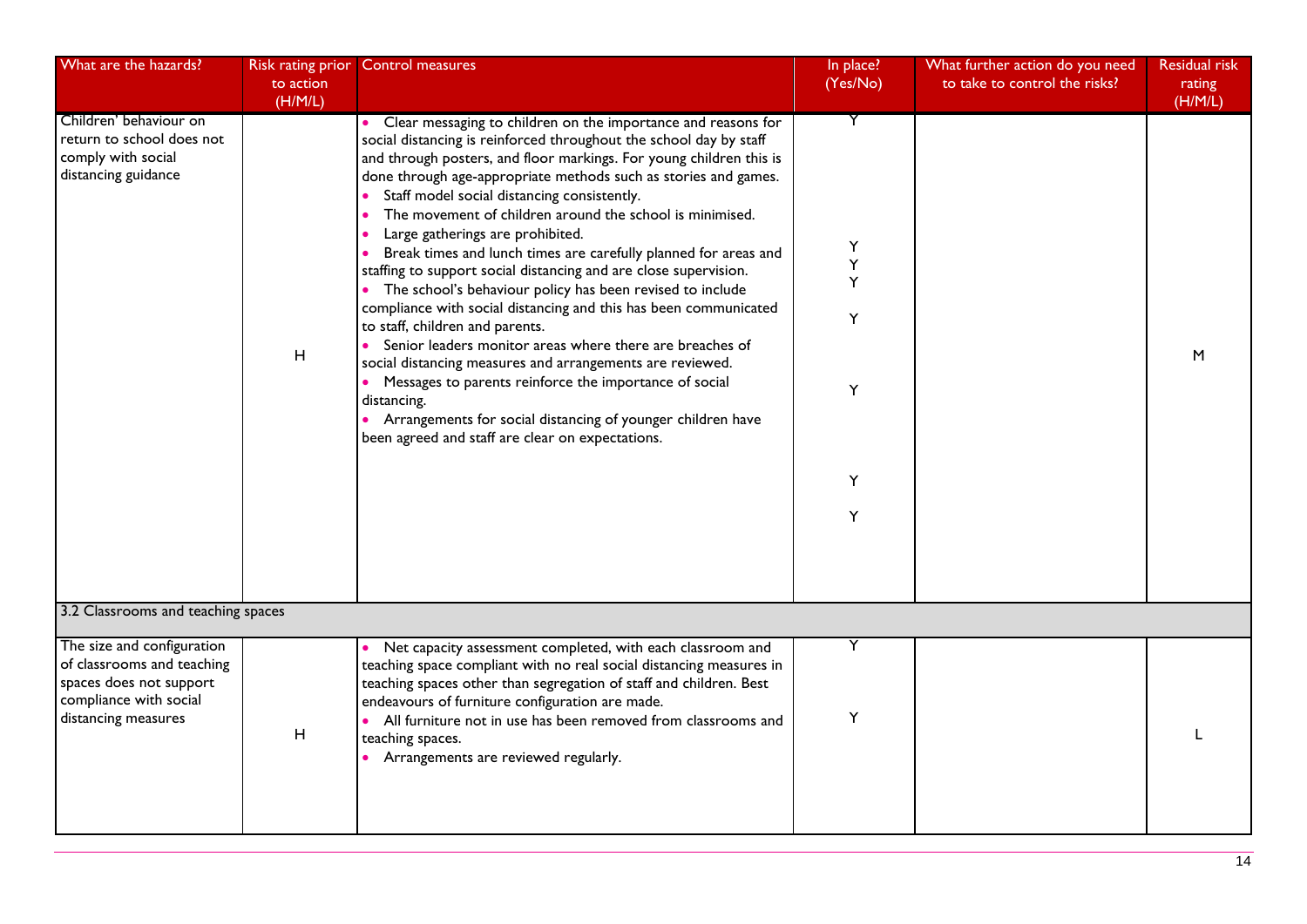| What are the hazards?                                                                                                                | Risk rating prior<br>to action<br>(H/M/L) | <b>Control measures</b>                                                                                                                                                                                                                                                                                                                                                                                                                                                                                                                                                                                                                                                                                                                                                                                                                                                                                                                                                                                                                                        | In place?<br>(Yes/No)                | What further action do you need<br>to take to control the risks? | <b>Residual risk</b><br>rating<br>(H/M/L) |
|--------------------------------------------------------------------------------------------------------------------------------------|-------------------------------------------|----------------------------------------------------------------------------------------------------------------------------------------------------------------------------------------------------------------------------------------------------------------------------------------------------------------------------------------------------------------------------------------------------------------------------------------------------------------------------------------------------------------------------------------------------------------------------------------------------------------------------------------------------------------------------------------------------------------------------------------------------------------------------------------------------------------------------------------------------------------------------------------------------------------------------------------------------------------------------------------------------------------------------------------------------------------|--------------------------------------|------------------------------------------------------------------|-------------------------------------------|
| Children' behaviour on<br>return to school does not<br>comply with social<br>distancing guidance                                     | H                                         | Clear messaging to children on the importance and reasons for<br>social distancing is reinforced throughout the school day by staff<br>and through posters, and floor markings. For young children this is<br>done through age-appropriate methods such as stories and games.<br>Staff model social distancing consistently.<br>The movement of children around the school is minimised.<br>Large gatherings are prohibited.<br>Break times and lunch times are carefully planned for areas and<br>staffing to support social distancing and are close supervision.<br>The school's behaviour policy has been revised to include<br>compliance with social distancing and this has been communicated<br>to staff, children and parents.<br>Senior leaders monitor areas where there are breaches of<br>social distancing measures and arrangements are reviewed.<br>Messages to parents reinforce the importance of social<br>distancing.<br>• Arrangements for social distancing of younger children have<br>been agreed and staff are clear on expectations. | Y<br>Υ<br>Y<br>Υ<br>Υ<br>Y<br>Υ<br>Y |                                                                  | M                                         |
| 3.2 Classrooms and teaching spaces                                                                                                   |                                           |                                                                                                                                                                                                                                                                                                                                                                                                                                                                                                                                                                                                                                                                                                                                                                                                                                                                                                                                                                                                                                                                |                                      |                                                                  |                                           |
| The size and configuration<br>of classrooms and teaching<br>spaces does not support<br>compliance with social<br>distancing measures | H                                         | Net capacity assessment completed, with each classroom and<br>$\bullet$<br>teaching space compliant with no real social distancing measures in<br>teaching spaces other than segregation of staff and children. Best<br>endeavours of furniture configuration are made.<br>• All furniture not in use has been removed from classrooms and<br>teaching spaces.<br>• Arrangements are reviewed regularly.                                                                                                                                                                                                                                                                                                                                                                                                                                                                                                                                                                                                                                                       | Y<br>Υ                               |                                                                  |                                           |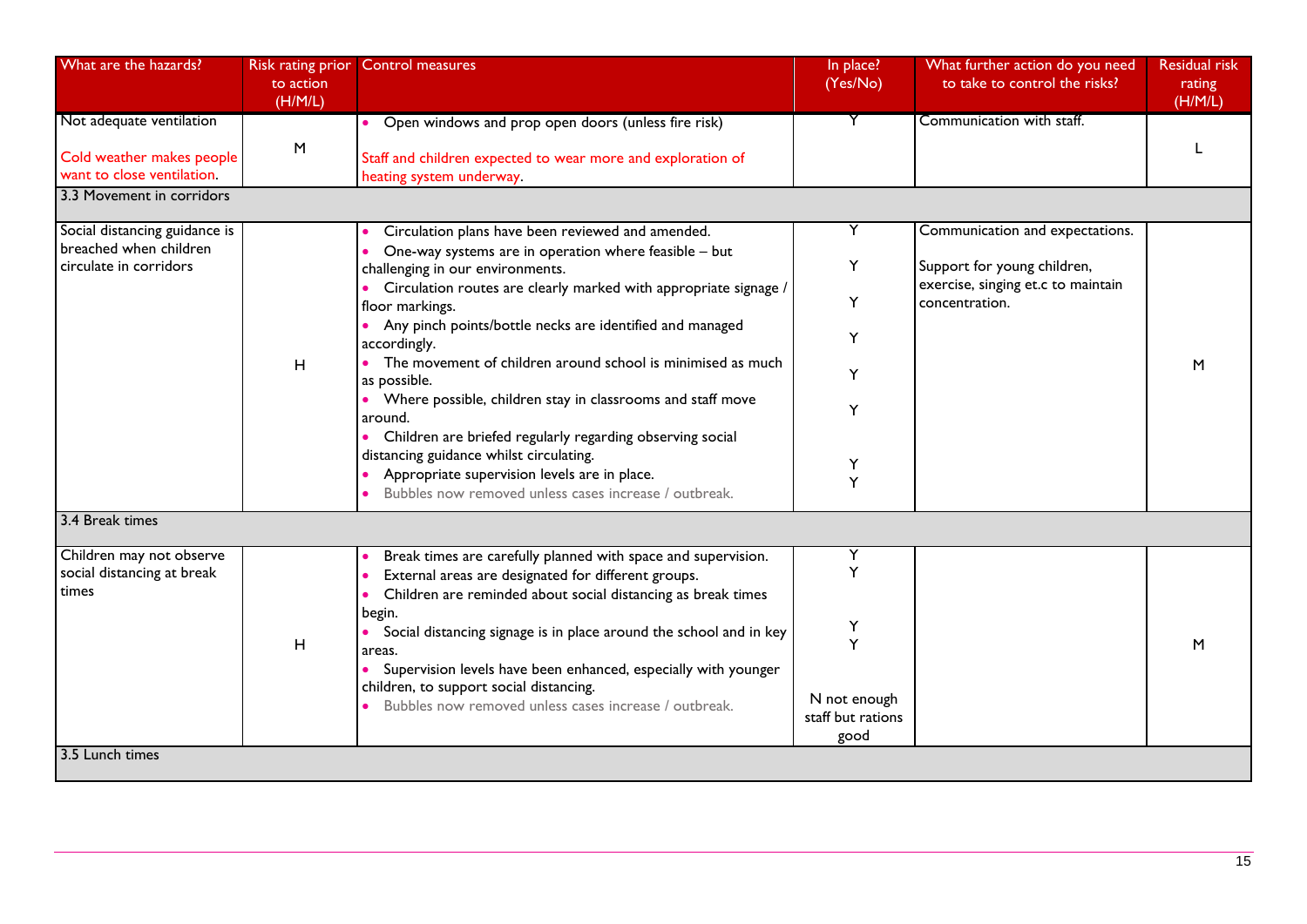| What are the hazards?                                                               | to action<br>(H/M/L) | Risk rating prior Control measures                                                                                                                                                                            | In place?<br>(Yes/No)                     | What further action do you need<br>to take to control the risks?  | <b>Residual risk</b><br>rating<br>(H/M/L) |
|-------------------------------------------------------------------------------------|----------------------|---------------------------------------------------------------------------------------------------------------------------------------------------------------------------------------------------------------|-------------------------------------------|-------------------------------------------------------------------|-------------------------------------------|
| Not adequate ventilation<br>Cold weather makes people<br>want to close ventilation. | $\sf M$              | Open windows and prop open doors (unless fire risk)<br>Staff and children expected to wear more and exploration of<br>heating system underway.                                                                |                                           | Communication with staff.                                         |                                           |
| 3.3 Movement in corridors                                                           |                      |                                                                                                                                                                                                               |                                           |                                                                   |                                           |
| Social distancing guidance is<br>breached when children                             |                      | Circulation plans have been reviewed and amended.                                                                                                                                                             | Y                                         | Communication and expectations.                                   |                                           |
| circulate in corridors                                                              |                      | One-way systems are in operation where feasible - but<br>challenging in our environments.                                                                                                                     | Y                                         | Support for young children,<br>exercise, singing et.c to maintain |                                           |
|                                                                                     |                      | Circulation routes are clearly marked with appropriate signage /<br>floor markings.                                                                                                                           | Y                                         | concentration.                                                    |                                           |
|                                                                                     |                      | Any pinch points/bottle necks are identified and managed<br>accordingly.                                                                                                                                      | Y                                         |                                                                   |                                           |
|                                                                                     | H                    | • The movement of children around school is minimised as much<br>as possible.                                                                                                                                 | Y                                         |                                                                   | M                                         |
|                                                                                     |                      | • Where possible, children stay in classrooms and staff move<br>around.                                                                                                                                       | Y                                         |                                                                   |                                           |
|                                                                                     |                      | Children are briefed regularly regarding observing social<br>distancing guidance whilst circulating.<br>Appropriate supervision levels are in place.<br>Bubbles now removed unless cases increase / outbreak. | Υ<br>Υ                                    |                                                                   |                                           |
| 3.4 Break times                                                                     |                      |                                                                                                                                                                                                               |                                           |                                                                   |                                           |
| Children may not observe<br>social distancing at break<br>times                     |                      | Break times are carefully planned with space and supervision.<br>External areas are designated for different groups.<br>Children are reminded about social distancing as break times                          | Y<br>Ý                                    |                                                                   |                                           |
|                                                                                     | H                    | begin.<br>Social distancing signage is in place around the school and in key<br>areas.                                                                                                                        | Υ<br>Y                                    |                                                                   | M                                         |
|                                                                                     |                      | Supervision levels have been enhanced, especially with younger<br>children, to support social distancing.<br>Bubbles now removed unless cases increase / outbreak.                                            | N not enough<br>staff but rations<br>good |                                                                   |                                           |
| 3.5 Lunch times                                                                     |                      |                                                                                                                                                                                                               |                                           |                                                                   |                                           |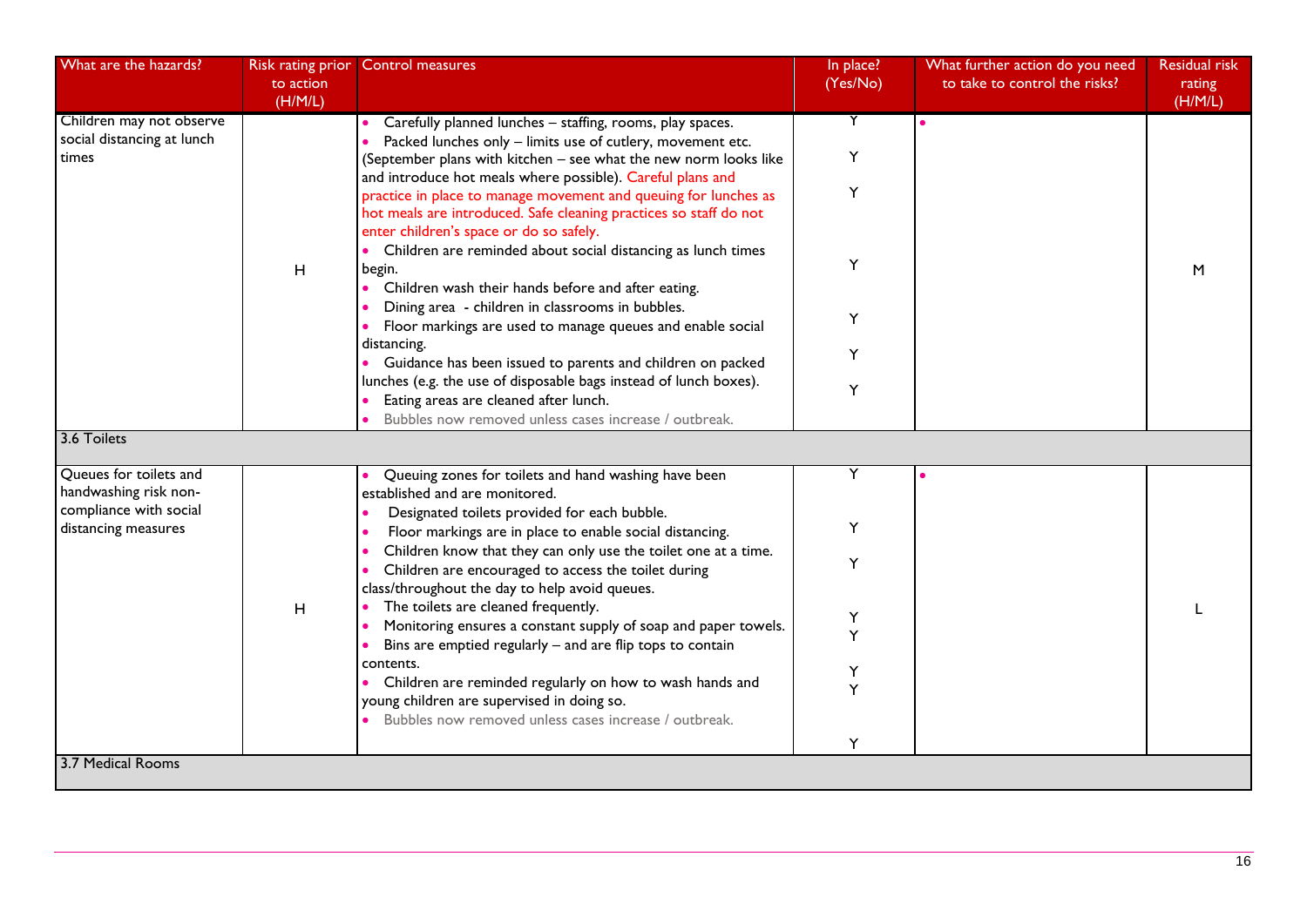| What are the hazards?                                  | Risk rating prior<br>to action | <b>Control measures</b>                                                                                                                                                         | In place?<br>(Yes/No) | What further action do you need<br>to take to control the risks? | <b>Residual risk</b><br>rating |
|--------------------------------------------------------|--------------------------------|---------------------------------------------------------------------------------------------------------------------------------------------------------------------------------|-----------------------|------------------------------------------------------------------|--------------------------------|
|                                                        | (H/M/L)                        |                                                                                                                                                                                 |                       |                                                                  | (H/M/L)                        |
| Children may not observe<br>social distancing at lunch |                                | Carefully planned lunches - staffing, rooms, play spaces.<br>Packed lunches only - limits use of cutlery, movement etc.                                                         | Y                     |                                                                  |                                |
| times                                                  |                                | (September plans with kitchen - see what the new norm looks like<br>and introduce hot meals where possible). Careful plans and                                                  | Y                     |                                                                  |                                |
|                                                        |                                | practice in place to manage movement and queuing for lunches as<br>hot meals are introduced. Safe cleaning practices so staff do not<br>enter children's space or do so safely. | Y                     |                                                                  |                                |
|                                                        | H                              | • Children are reminded about social distancing as lunch times<br>begin.<br>• Children wash their hands before and after eating.                                                | Y                     |                                                                  | M                              |
|                                                        |                                | Dining area - children in classrooms in bubbles.<br>Floor markings are used to manage queues and enable social                                                                  | Y                     |                                                                  |                                |
|                                                        |                                | distancing.<br>• Guidance has been issued to parents and children on packed                                                                                                     | Y                     |                                                                  |                                |
|                                                        |                                | lunches (e.g. the use of disposable bags instead of lunch boxes).<br>Eating areas are cleaned after lunch.<br>Bubbles now removed unless cases increase / outbreak.             | Y                     |                                                                  |                                |
| 3.6 Toilets                                            |                                |                                                                                                                                                                                 |                       |                                                                  |                                |
| Queues for toilets and<br>handwashing risk non-        |                                | Queuing zones for toilets and hand washing have been<br>established and are monitored.                                                                                          | Y                     |                                                                  |                                |
| compliance with social<br>distancing measures          |                                | Designated toilets provided for each bubble.<br>Floor markings are in place to enable social distancing.                                                                        | Y                     |                                                                  |                                |
|                                                        |                                | Children know that they can only use the toilet one at a time.<br>Children are encouraged to access the toilet during<br>class/throughout the day to help avoid queues.         | Y                     |                                                                  |                                |
|                                                        | H                              | The toilets are cleaned frequently.<br>Monitoring ensures a constant supply of soap and paper towels.<br>Bins are emptied regularly - and are flip tops to contain              | Υ<br>Ý                |                                                                  |                                |
|                                                        |                                | contents.<br>Children are reminded regularly on how to wash hands and<br>young children are supervised in doing so.                                                             | Y<br>Y                |                                                                  |                                |
|                                                        |                                | Bubbles now removed unless cases increase / outbreak.                                                                                                                           | Υ                     |                                                                  |                                |
| 3.7 Medical Rooms                                      |                                |                                                                                                                                                                                 |                       |                                                                  |                                |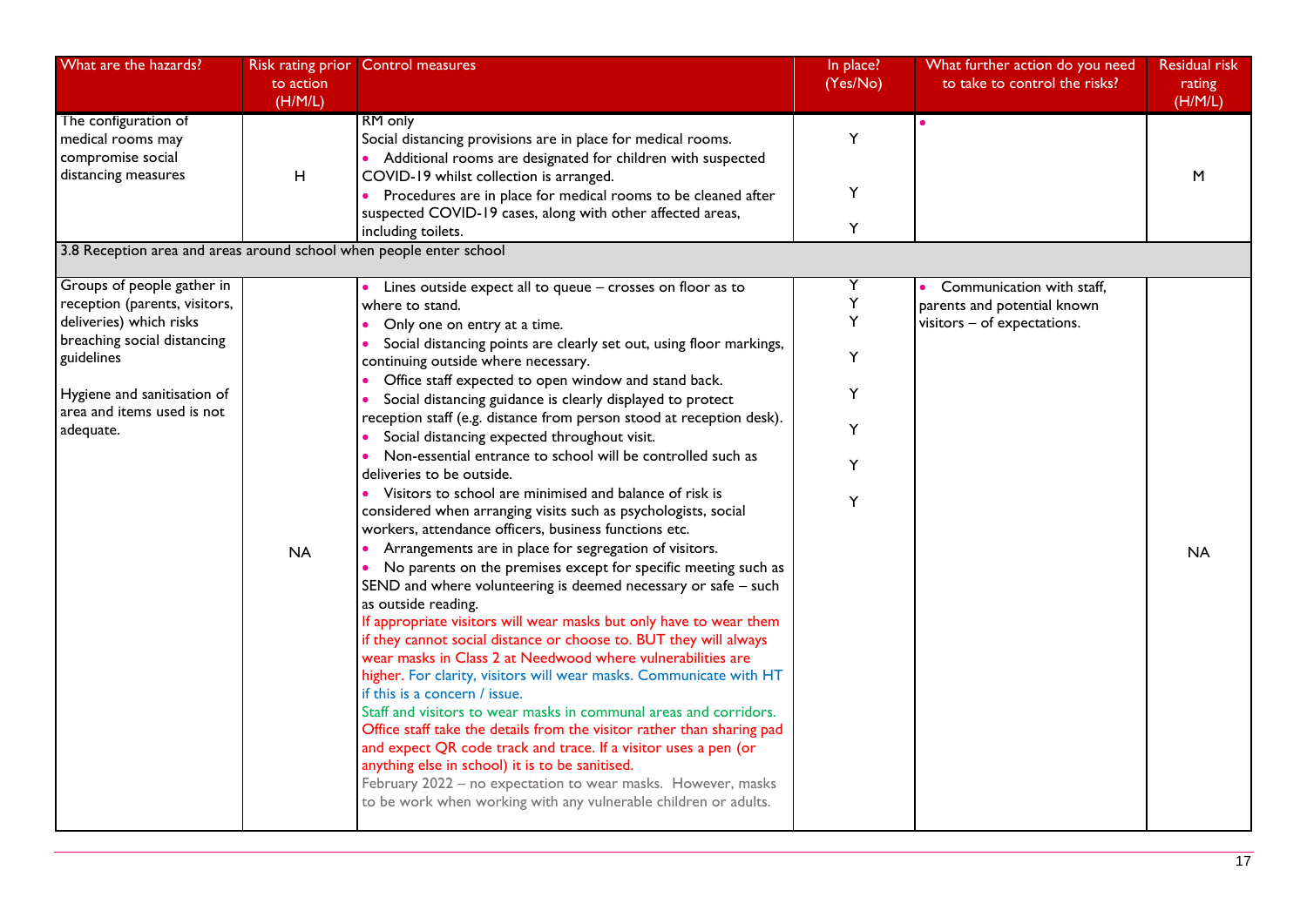| What are the hazards?                                                                                                                                                                                         | Risk rating prior<br>to action<br>(H/M/L) | <b>Control measures</b>                                                                                                                                                                                                                                                                                                                                                                                                                                                                                                                                                                                                                                                                                                                                                                                                                                                                                                                                                                                                                                                                                                                                                                                                                                                                                                                                                                                                                                                                                                                                                                                                                                                                                     | In place?<br>(Yes/No)                | What further action do you need<br>to take to control the risks?                        | <b>Residual risk</b><br>rating<br>(H/M/L) |
|---------------------------------------------------------------------------------------------------------------------------------------------------------------------------------------------------------------|-------------------------------------------|-------------------------------------------------------------------------------------------------------------------------------------------------------------------------------------------------------------------------------------------------------------------------------------------------------------------------------------------------------------------------------------------------------------------------------------------------------------------------------------------------------------------------------------------------------------------------------------------------------------------------------------------------------------------------------------------------------------------------------------------------------------------------------------------------------------------------------------------------------------------------------------------------------------------------------------------------------------------------------------------------------------------------------------------------------------------------------------------------------------------------------------------------------------------------------------------------------------------------------------------------------------------------------------------------------------------------------------------------------------------------------------------------------------------------------------------------------------------------------------------------------------------------------------------------------------------------------------------------------------------------------------------------------------------------------------------------------------|--------------------------------------|-----------------------------------------------------------------------------------------|-------------------------------------------|
| The configuration of<br>medical rooms may<br>compromise social<br>distancing measures                                                                                                                         | H                                         | RM only<br>Social distancing provisions are in place for medical rooms.<br>• Additional rooms are designated for children with suspected<br>COVID-19 whilst collection is arranged.<br>Procedures are in place for medical rooms to be cleaned after<br>suspected COVID-19 cases, along with other affected areas,<br>including toilets.                                                                                                                                                                                                                                                                                                                                                                                                                                                                                                                                                                                                                                                                                                                                                                                                                                                                                                                                                                                                                                                                                                                                                                                                                                                                                                                                                                    | Y<br>Υ<br>Y                          |                                                                                         | M                                         |
| 3.8 Reception area and areas around school when people enter school                                                                                                                                           |                                           |                                                                                                                                                                                                                                                                                                                                                                                                                                                                                                                                                                                                                                                                                                                                                                                                                                                                                                                                                                                                                                                                                                                                                                                                                                                                                                                                                                                                                                                                                                                                                                                                                                                                                                             |                                      |                                                                                         |                                           |
| Groups of people gather in<br>reception (parents, visitors,<br>deliveries) which risks<br>breaching social distancing<br>guidelines<br>Hygiene and sanitisation of<br>area and items used is not<br>adequate. | <b>NA</b>                                 | Lines outside expect all to queue - crosses on floor as to<br>where to stand.<br>Only one on entry at a time.<br>Social distancing points are clearly set out, using floor markings,<br>continuing outside where necessary.<br>Office staff expected to open window and stand back.<br>Social distancing guidance is clearly displayed to protect<br>reception staff (e.g. distance from person stood at reception desk).<br>Social distancing expected throughout visit.<br>Non-essential entrance to school will be controlled such as<br>deliveries to be outside.<br>Visitors to school are minimised and balance of risk is<br>considered when arranging visits such as psychologists, social<br>workers, attendance officers, business functions etc.<br>Arrangements are in place for segregation of visitors.<br>• No parents on the premises except for specific meeting such as<br>SEND and where volunteering is deemed necessary or safe - such<br>as outside reading.<br>If appropriate visitors will wear masks but only have to wear them<br>if they cannot social distance or choose to. BUT they will always<br>wear masks in Class 2 at Needwood where vulnerabilities are<br>higher. For clarity, visitors will wear masks. Communicate with HT<br>if this is a concern / issue.<br>Staff and visitors to wear masks in communal areas and corridors.<br>Office staff take the details from the visitor rather than sharing pad<br>and expect QR code track and trace. If a visitor uses a pen (or<br>anything else in school) it is to be sanitised.<br>February 2022 - no expectation to wear masks. However, masks<br>to be work when working with any vulnerable children or adults. | Υ<br>Υ<br>Υ<br>Υ<br>Υ<br>Y<br>Y<br>Y | Communication with staff,<br>parents and potential known<br>visitors - of expectations. | <b>NA</b>                                 |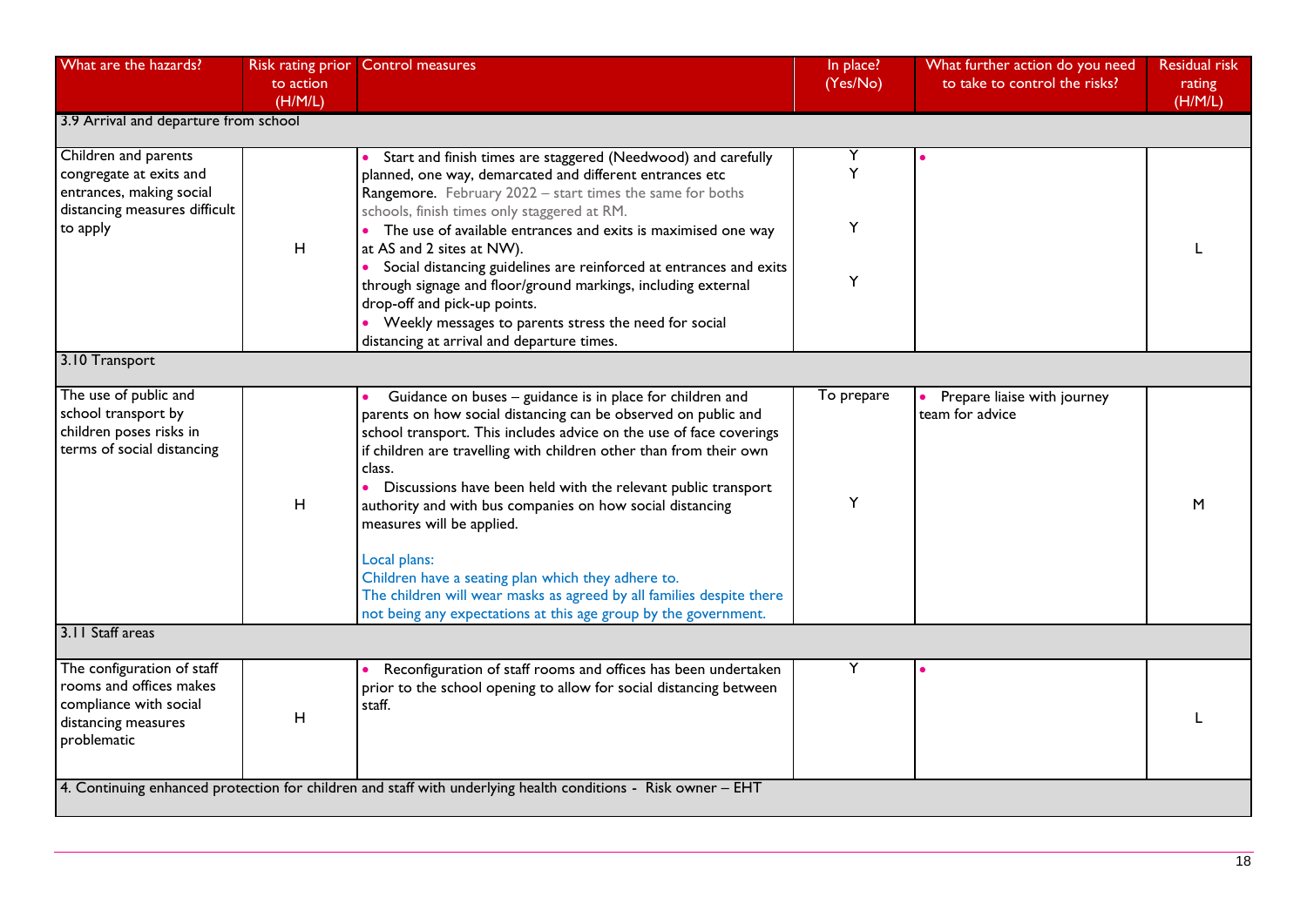| What are the hazards?                                                                                                    | to action<br>(H/M/L) | Risk rating prior Control measures                                                                                                                                                                                                                                                                                                                                                                                                                                                                                                                                                                                                                                          | In place?<br>(Yes/No) | What further action do you need<br>to take to control the risks? | <b>Residual risk</b><br>rating<br>(H/M/L) |
|--------------------------------------------------------------------------------------------------------------------------|----------------------|-----------------------------------------------------------------------------------------------------------------------------------------------------------------------------------------------------------------------------------------------------------------------------------------------------------------------------------------------------------------------------------------------------------------------------------------------------------------------------------------------------------------------------------------------------------------------------------------------------------------------------------------------------------------------------|-----------------------|------------------------------------------------------------------|-------------------------------------------|
| 3.9 Arrival and departure from school                                                                                    |                      |                                                                                                                                                                                                                                                                                                                                                                                                                                                                                                                                                                                                                                                                             |                       |                                                                  |                                           |
| Children and parents<br>congregate at exits and<br>entrances, making social<br>distancing measures difficult<br>to apply | $\mathsf H$          | Start and finish times are staggered (Needwood) and carefully<br>planned, one way, demarcated and different entrances etc<br>Rangemore. February 2022 - start times the same for boths<br>schools, finish times only staggered at RM.<br>• The use of available entrances and exits is maximised one way<br>at AS and 2 sites at NW).                                                                                                                                                                                                                                                                                                                                       | Y<br>Υ                |                                                                  |                                           |
|                                                                                                                          |                      | • Social distancing guidelines are reinforced at entrances and exits<br>through signage and floor/ground markings, including external<br>drop-off and pick-up points.<br>• Weekly messages to parents stress the need for social<br>distancing at arrival and departure times.                                                                                                                                                                                                                                                                                                                                                                                              | Y                     |                                                                  |                                           |
| 3.10 Transport                                                                                                           |                      |                                                                                                                                                                                                                                                                                                                                                                                                                                                                                                                                                                                                                                                                             |                       |                                                                  |                                           |
| The use of public and<br>school transport by<br>children poses risks in<br>terms of social distancing                    | H                    | Guidance on buses - guidance is in place for children and<br>parents on how social distancing can be observed on public and<br>school transport. This includes advice on the use of face coverings<br>if children are travelling with children other than from their own<br>class.<br>$\bullet$<br>Discussions have been held with the relevant public transport<br>authority and with bus companies on how social distancing<br>measures will be applied.<br>Local plans:<br>Children have a seating plan which they adhere to.<br>The children will wear masks as agreed by all families despite there<br>not being any expectations at this age group by the government. | To prepare<br>Y       | Prepare liaise with journey<br>team for advice                   | M                                         |
| 3.11 Staff areas                                                                                                         |                      |                                                                                                                                                                                                                                                                                                                                                                                                                                                                                                                                                                                                                                                                             |                       |                                                                  |                                           |
| The configuration of staff<br>rooms and offices makes<br>compliance with social<br>distancing measures<br>problematic    | H                    | Reconfiguration of staff rooms and offices has been undertaken<br>prior to the school opening to allow for social distancing between<br>staff.                                                                                                                                                                                                                                                                                                                                                                                                                                                                                                                              | Y                     |                                                                  |                                           |
|                                                                                                                          |                      | 4. Continuing enhanced protection for children and staff with underlying health conditions - Risk owner - EHT                                                                                                                                                                                                                                                                                                                                                                                                                                                                                                                                                               |                       |                                                                  |                                           |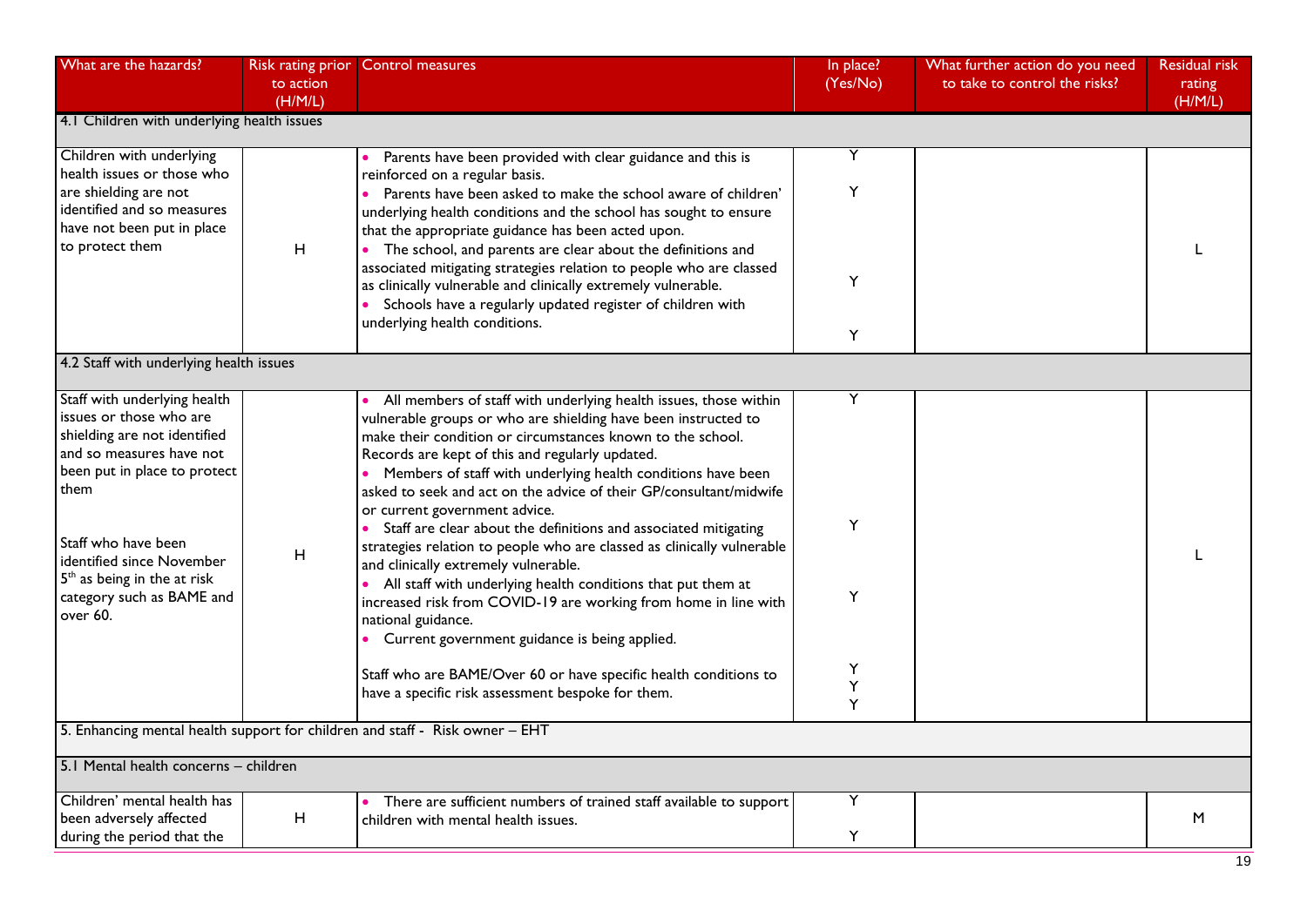| What are the hazards?                                                                                | Risk rating prior<br>to action<br>(H/M/L) | <b>Control measures</b>                                                                                                                                                                                                                                  | In place?<br>(Yes/No) | What further action do you need<br>to take to control the risks? | <b>Residual risk</b><br>rating<br>(H/M/L) |
|------------------------------------------------------------------------------------------------------|-------------------------------------------|----------------------------------------------------------------------------------------------------------------------------------------------------------------------------------------------------------------------------------------------------------|-----------------------|------------------------------------------------------------------|-------------------------------------------|
| 4.1 Children with underlying health issues                                                           |                                           |                                                                                                                                                                                                                                                          |                       |                                                                  |                                           |
| Children with underlying<br>health issues or those who                                               |                                           | Parents have been provided with clear guidance and this is<br>reinforced on a regular basis.                                                                                                                                                             | Υ                     |                                                                  |                                           |
| are shielding are not<br>identified and so measures<br>have not been put in place<br>to protect them | H                                         | • Parents have been asked to make the school aware of children'<br>underlying health conditions and the school has sought to ensure<br>that the appropriate guidance has been acted upon.<br>The school, and parents are clear about the definitions and | Υ                     |                                                                  |                                           |
|                                                                                                      |                                           | associated mitigating strategies relation to people who are classed<br>as clinically vulnerable and clinically extremely vulnerable.<br>• Schools have a regularly updated register of children with<br>underlying health conditions.                    | Y                     |                                                                  |                                           |
|                                                                                                      |                                           |                                                                                                                                                                                                                                                          | Y                     |                                                                  |                                           |
| 4.2 Staff with underlying health issues                                                              |                                           |                                                                                                                                                                                                                                                          |                       |                                                                  |                                           |
| Staff with underlying health                                                                         |                                           | All members of staff with underlying health issues, those within                                                                                                                                                                                         | Ÿ                     |                                                                  |                                           |
| issues or those who are<br>shielding are not identified<br>and so measures have not                  |                                           | vulnerable groups or who are shielding have been instructed to<br>make their condition or circumstances known to the school.<br>Records are kept of this and regularly updated.                                                                          |                       |                                                                  |                                           |
| been put in place to protect<br>them                                                                 |                                           | • Members of staff with underlying health conditions have been<br>asked to seek and act on the advice of their GP/consultant/midwife<br>or current government advice.                                                                                    |                       |                                                                  |                                           |
| Staff who have been<br>identified since November                                                     | $\boldsymbol{\mathsf{H}}$                 | Staff are clear about the definitions and associated mitigating<br>strategies relation to people who are classed as clinically vulnerable<br>and clinically extremely vulnerable.                                                                        | Y                     |                                                                  |                                           |
| $5th$ as being in the at risk<br>category such as BAME and<br>over 60.                               |                                           | All staff with underlying health conditions that put them at<br>increased risk from COVID-19 are working from home in line with<br>national guidance.<br>• Current government guidance is being applied.                                                 | Y                     |                                                                  |                                           |
|                                                                                                      |                                           | Staff who are BAME/Over 60 or have specific health conditions to<br>have a specific risk assessment bespoke for them.                                                                                                                                    | Υ<br>Υ<br>Y           |                                                                  |                                           |
|                                                                                                      |                                           | 5. Enhancing mental health support for children and staff - Risk owner - EHT                                                                                                                                                                             |                       |                                                                  |                                           |
| 5.1 Mental health concerns - children                                                                |                                           |                                                                                                                                                                                                                                                          |                       |                                                                  |                                           |
| Children' mental health has                                                                          |                                           | There are sufficient numbers of trained staff available to support                                                                                                                                                                                       | Υ                     |                                                                  |                                           |
| been adversely affected<br>during the period that the                                                | H                                         | children with mental health issues.                                                                                                                                                                                                                      | Υ                     |                                                                  | M                                         |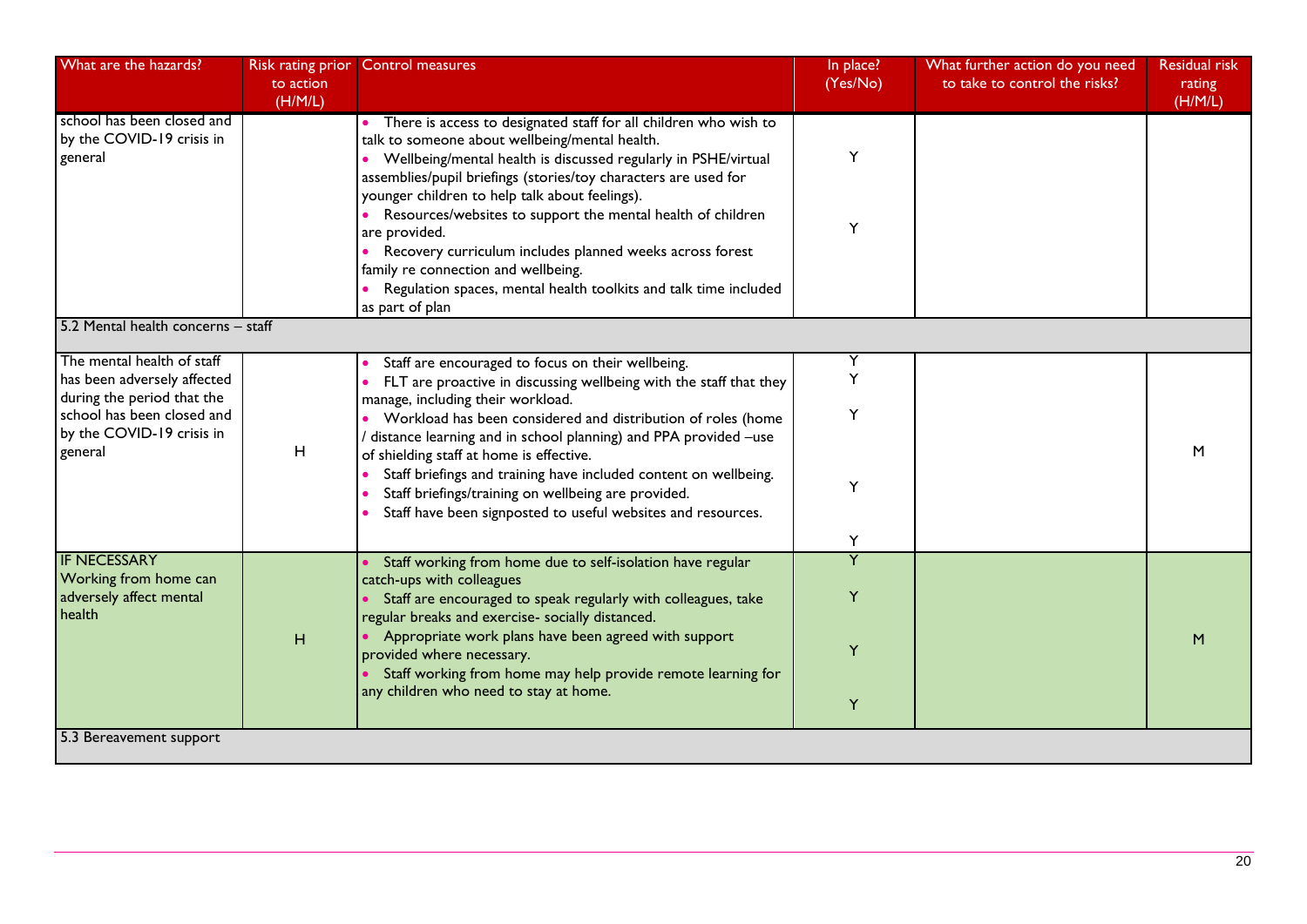| What are the hazards?                                                                                                                                         | <b>Risk rating prior</b><br>to action<br>(H/M/L) | <b>Control measures</b>                                                                                                                                                                                                                                                                                                                                                                                                                                                                                                                  | In place?<br>(Yes/No) | What further action do you need<br>to take to control the risks? | <b>Residual risk</b><br>rating<br>(H/M/L) |
|---------------------------------------------------------------------------------------------------------------------------------------------------------------|--------------------------------------------------|------------------------------------------------------------------------------------------------------------------------------------------------------------------------------------------------------------------------------------------------------------------------------------------------------------------------------------------------------------------------------------------------------------------------------------------------------------------------------------------------------------------------------------------|-----------------------|------------------------------------------------------------------|-------------------------------------------|
| school has been closed and<br>by the COVID-19 crisis in<br>general                                                                                            |                                                  | • There is access to designated staff for all children who wish to<br>talk to someone about wellbeing/mental health.<br>• Wellbeing/mental health is discussed regularly in PSHE/virtual<br>assemblies/pupil briefings (stories/toy characters are used for<br>younger children to help talk about feelings).                                                                                                                                                                                                                            | Y                     |                                                                  |                                           |
|                                                                                                                                                               |                                                  | Resources/websites to support the mental health of children<br>are provided.<br>Recovery curriculum includes planned weeks across forest<br>family re connection and wellbeing.<br>Regulation spaces, mental health toolkits and talk time included                                                                                                                                                                                                                                                                                      | Y                     |                                                                  |                                           |
|                                                                                                                                                               |                                                  | as part of plan                                                                                                                                                                                                                                                                                                                                                                                                                                                                                                                          |                       |                                                                  |                                           |
| 5.2 Mental health concerns - staff                                                                                                                            |                                                  |                                                                                                                                                                                                                                                                                                                                                                                                                                                                                                                                          |                       |                                                                  |                                           |
| The mental health of staff<br>has been adversely affected<br>during the period that the<br>school has been closed and<br>by the COVID-19 crisis in<br>general | H                                                | Staff are encouraged to focus on their wellbeing.<br>FLT are proactive in discussing wellbeing with the staff that they<br>manage, including their workload.<br>Workload has been considered and distribution of roles (home<br>/ distance learning and in school planning) and PPA provided -use<br>of shielding staff at home is effective.<br>Staff briefings and training have included content on wellbeing.<br>Staff briefings/training on wellbeing are provided.<br>Staff have been signposted to useful websites and resources. | Υ<br>Y<br>Y<br>Y      |                                                                  | M                                         |
| <b>IF NECESSARY</b>                                                                                                                                           |                                                  |                                                                                                                                                                                                                                                                                                                                                                                                                                                                                                                                          | Y<br>$\overline{Y}$   |                                                                  |                                           |
| Working from home can<br>adversely affect mental<br>health                                                                                                    |                                                  | Staff working from home due to self-isolation have regular<br>catch-ups with colleagues<br>• Staff are encouraged to speak regularly with colleagues, take<br>regular breaks and exercise- socially distanced.                                                                                                                                                                                                                                                                                                                           | Y                     |                                                                  |                                           |
|                                                                                                                                                               | H                                                | • Appropriate work plans have been agreed with support<br>provided where necessary.<br>• Staff working from home may help provide remote learning for<br>any children who need to stay at home.                                                                                                                                                                                                                                                                                                                                          | Y<br>Υ                |                                                                  | M                                         |
| 5.3 Bereavement support                                                                                                                                       |                                                  |                                                                                                                                                                                                                                                                                                                                                                                                                                                                                                                                          |                       |                                                                  |                                           |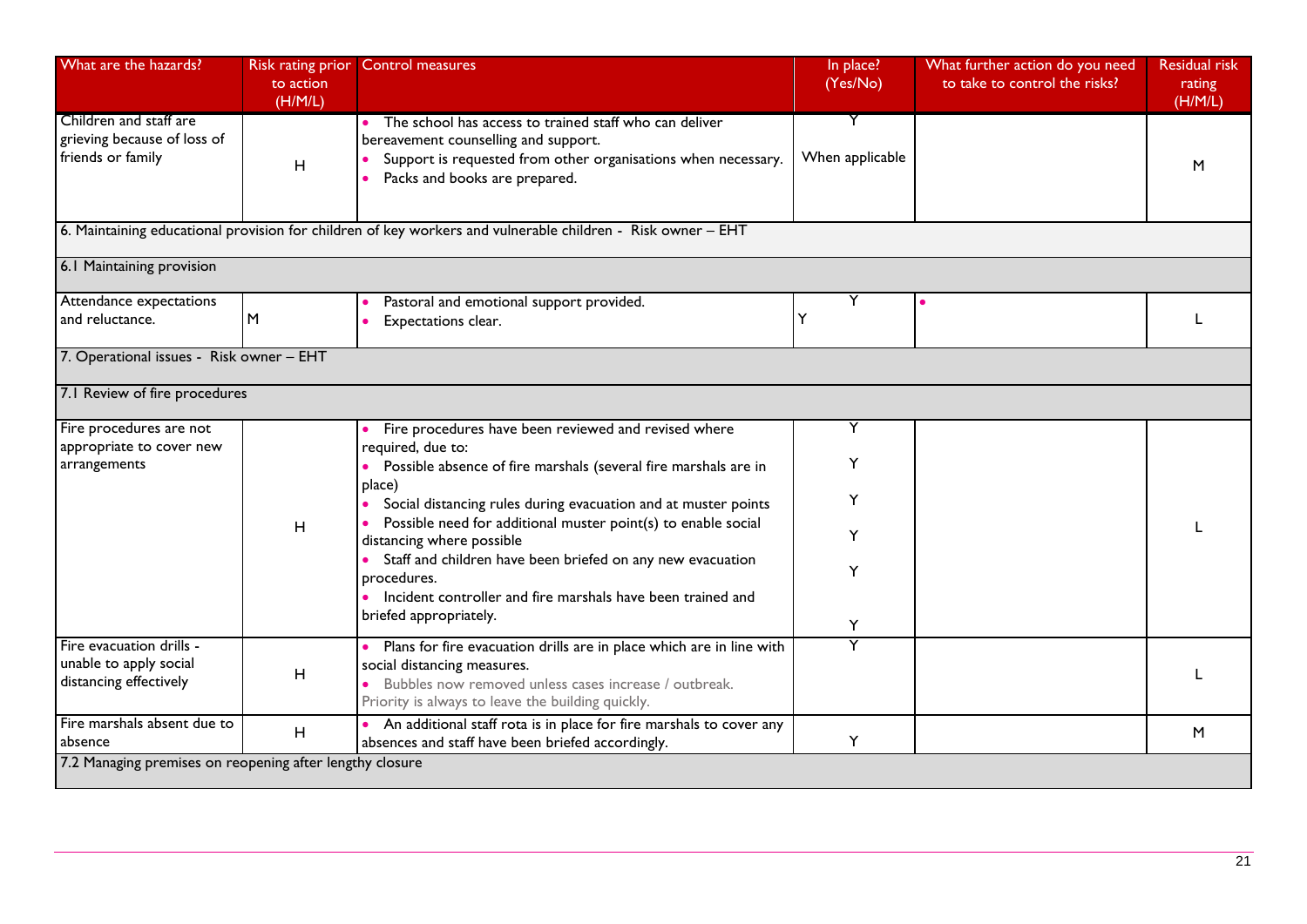| What are the hazards?                                                        | <b>Risk rating prior</b><br>to action<br>(H/M/L) | <b>Control measures</b>                                                                                                                                                                                           | In place?<br>(Yes/No) | What further action do you need<br>to take to control the risks? | <b>Residual risk</b><br>rating<br>(H/M/L) |
|------------------------------------------------------------------------------|--------------------------------------------------|-------------------------------------------------------------------------------------------------------------------------------------------------------------------------------------------------------------------|-----------------------|------------------------------------------------------------------|-------------------------------------------|
| Children and staff are<br>grieving because of loss of<br>friends or family   | H                                                | The school has access to trained staff who can deliver<br>bereavement counselling and support.<br>Support is requested from other organisations when necessary.<br>Packs and books are prepared.                  | When applicable       |                                                                  | M                                         |
|                                                                              |                                                  | 6. Maintaining educational provision for children of key workers and vulnerable children - Risk owner - EHT                                                                                                       |                       |                                                                  |                                           |
| 6.1 Maintaining provision                                                    |                                                  |                                                                                                                                                                                                                   |                       |                                                                  |                                           |
| Attendance expectations<br>and reluctance.                                   | M                                                | Pastoral and emotional support provided.<br>Expectations clear.                                                                                                                                                   | Y                     |                                                                  |                                           |
| 7. Operational issues - Risk owner - EHT                                     |                                                  |                                                                                                                                                                                                                   |                       |                                                                  |                                           |
| 7.1 Review of fire procedures                                                |                                                  |                                                                                                                                                                                                                   |                       |                                                                  |                                           |
| Fire procedures are not<br>appropriate to cover new<br>arrangements          |                                                  | Fire procedures have been reviewed and revised where<br>required, due to:                                                                                                                                         | Y                     |                                                                  |                                           |
|                                                                              |                                                  | Possible absence of fire marshals (several fire marshals are in<br>place)<br>Social distancing rules during evacuation and at muster points                                                                       |                       |                                                                  |                                           |
|                                                                              | H                                                | Possible need for additional muster point(s) to enable social<br>distancing where possible                                                                                                                        |                       |                                                                  |                                           |
|                                                                              |                                                  | Staff and children have been briefed on any new evacuation<br>procedures.<br>• Incident controller and fire marshals have been trained and<br>briefed appropriately.                                              | Y                     |                                                                  |                                           |
| Fire evacuation drills -<br>unable to apply social<br>distancing effectively | H                                                | Plans for fire evacuation drills are in place which are in line with<br>social distancing measures.<br>Bubbles now removed unless cases increase / outbreak.<br>Priority is always to leave the building quickly. | Y                     |                                                                  |                                           |
| Fire marshals absent due to<br>absence                                       | $\mathsf H$                                      | An additional staff rota is in place for fire marshals to cover any<br>absences and staff have been briefed accordingly.                                                                                          | Υ                     |                                                                  | M                                         |
| 7.2 Managing premises on reopening after lengthy closure                     |                                                  |                                                                                                                                                                                                                   |                       |                                                                  |                                           |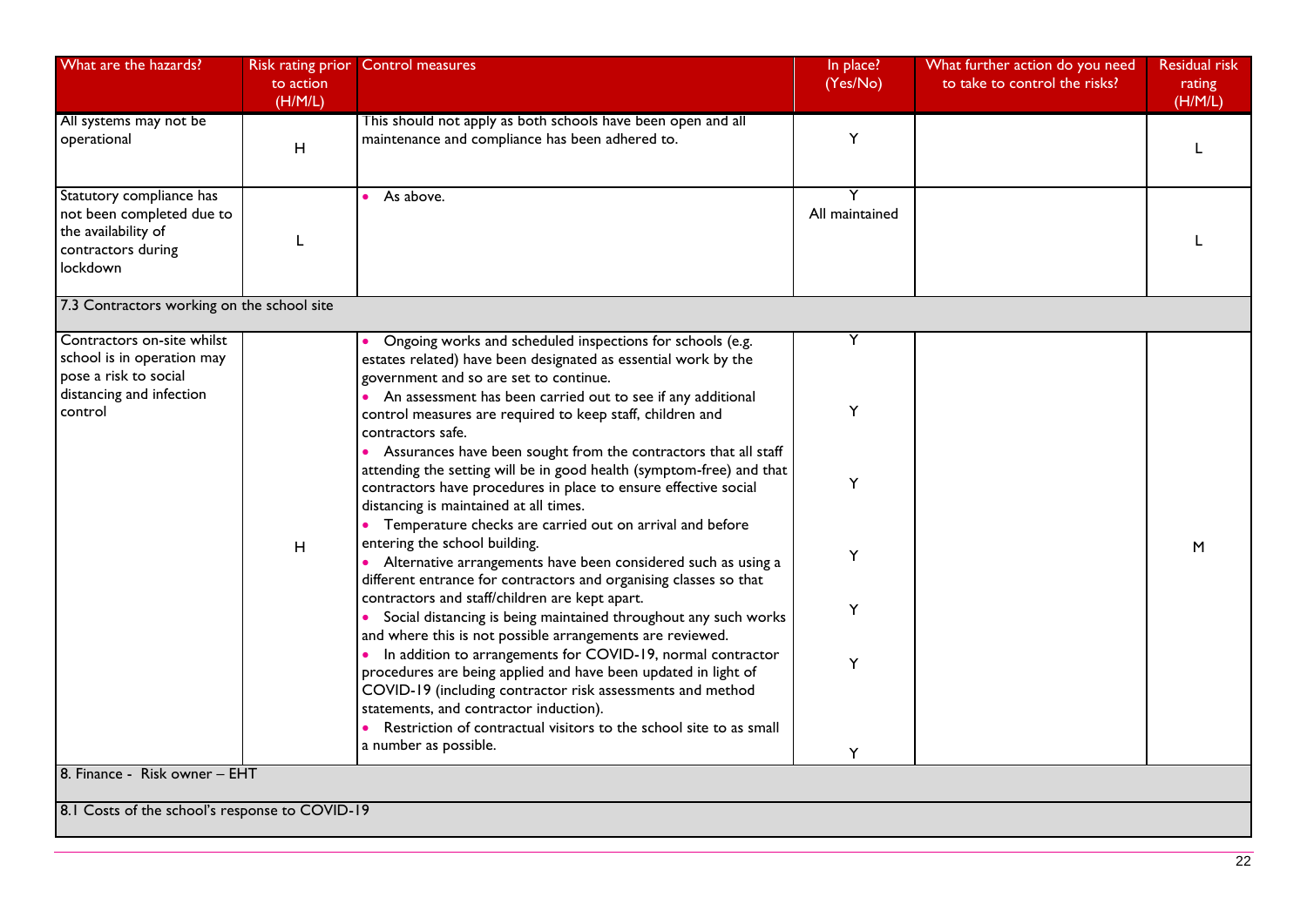| What are the hazards?                                                                                                    | Risk rating prior<br>to action<br>(H/M/L) | Control measures                                                                                                                                                                                                                                                                                                                                                                                                                                                                                                                                                                                                                                                                                                                                                                                                                                                                                                                                                                                                                                                                                                                                                                                                                                                                                                                                                 | In place?<br>(Yes/No)           | What further action do you need<br>to take to control the risks? | <b>Residual risk</b><br>rating<br>(H/M/L) |
|--------------------------------------------------------------------------------------------------------------------------|-------------------------------------------|------------------------------------------------------------------------------------------------------------------------------------------------------------------------------------------------------------------------------------------------------------------------------------------------------------------------------------------------------------------------------------------------------------------------------------------------------------------------------------------------------------------------------------------------------------------------------------------------------------------------------------------------------------------------------------------------------------------------------------------------------------------------------------------------------------------------------------------------------------------------------------------------------------------------------------------------------------------------------------------------------------------------------------------------------------------------------------------------------------------------------------------------------------------------------------------------------------------------------------------------------------------------------------------------------------------------------------------------------------------|---------------------------------|------------------------------------------------------------------|-------------------------------------------|
| All systems may not be<br>operational                                                                                    | H                                         | This should not apply as both schools have been open and all<br>maintenance and compliance has been adhered to.                                                                                                                                                                                                                                                                                                                                                                                                                                                                                                                                                                                                                                                                                                                                                                                                                                                                                                                                                                                                                                                                                                                                                                                                                                                  | Y                               |                                                                  | L                                         |
| Statutory compliance has<br>not been completed due to<br>the availability of<br>contractors during<br>lockdown           |                                           | As above.                                                                                                                                                                                                                                                                                                                                                                                                                                                                                                                                                                                                                                                                                                                                                                                                                                                                                                                                                                                                                                                                                                                                                                                                                                                                                                                                                        | All maintained                  |                                                                  |                                           |
| 7.3 Contractors working on the school site                                                                               |                                           |                                                                                                                                                                                                                                                                                                                                                                                                                                                                                                                                                                                                                                                                                                                                                                                                                                                                                                                                                                                                                                                                                                                                                                                                                                                                                                                                                                  |                                 |                                                                  |                                           |
| Contractors on-site whilst<br>school is in operation may<br>pose a risk to social<br>distancing and infection<br>control | H                                         | Ongoing works and scheduled inspections for schools (e.g.<br>estates related) have been designated as essential work by the<br>government and so are set to continue.<br>• An assessment has been carried out to see if any additional<br>control measures are required to keep staff, children and<br>contractors safe.<br>• Assurances have been sought from the contractors that all staff<br>attending the setting will be in good health (symptom-free) and that<br>contractors have procedures in place to ensure effective social<br>distancing is maintained at all times.<br>• Temperature checks are carried out on arrival and before<br>entering the school building.<br>• Alternative arrangements have been considered such as using a<br>different entrance for contractors and organising classes so that<br>contractors and staff/children are kept apart.<br>Social distancing is being maintained throughout any such works<br>and where this is not possible arrangements are reviewed.<br>In addition to arrangements for COVID-19, normal contractor<br>$\bullet$<br>procedures are being applied and have been updated in light of<br>COVID-19 (including contractor risk assessments and method<br>statements, and contractor induction).<br>Restriction of contractual visitors to the school site to as small<br>a number as possible. | Y<br>Y<br>Y<br>Y<br>Y<br>Y<br>Υ |                                                                  | M                                         |
| 8. Finance - Risk owner - EHT                                                                                            |                                           |                                                                                                                                                                                                                                                                                                                                                                                                                                                                                                                                                                                                                                                                                                                                                                                                                                                                                                                                                                                                                                                                                                                                                                                                                                                                                                                                                                  |                                 |                                                                  |                                           |
| 8.1 Costs of the school's response to COVID-19                                                                           |                                           |                                                                                                                                                                                                                                                                                                                                                                                                                                                                                                                                                                                                                                                                                                                                                                                                                                                                                                                                                                                                                                                                                                                                                                                                                                                                                                                                                                  |                                 |                                                                  |                                           |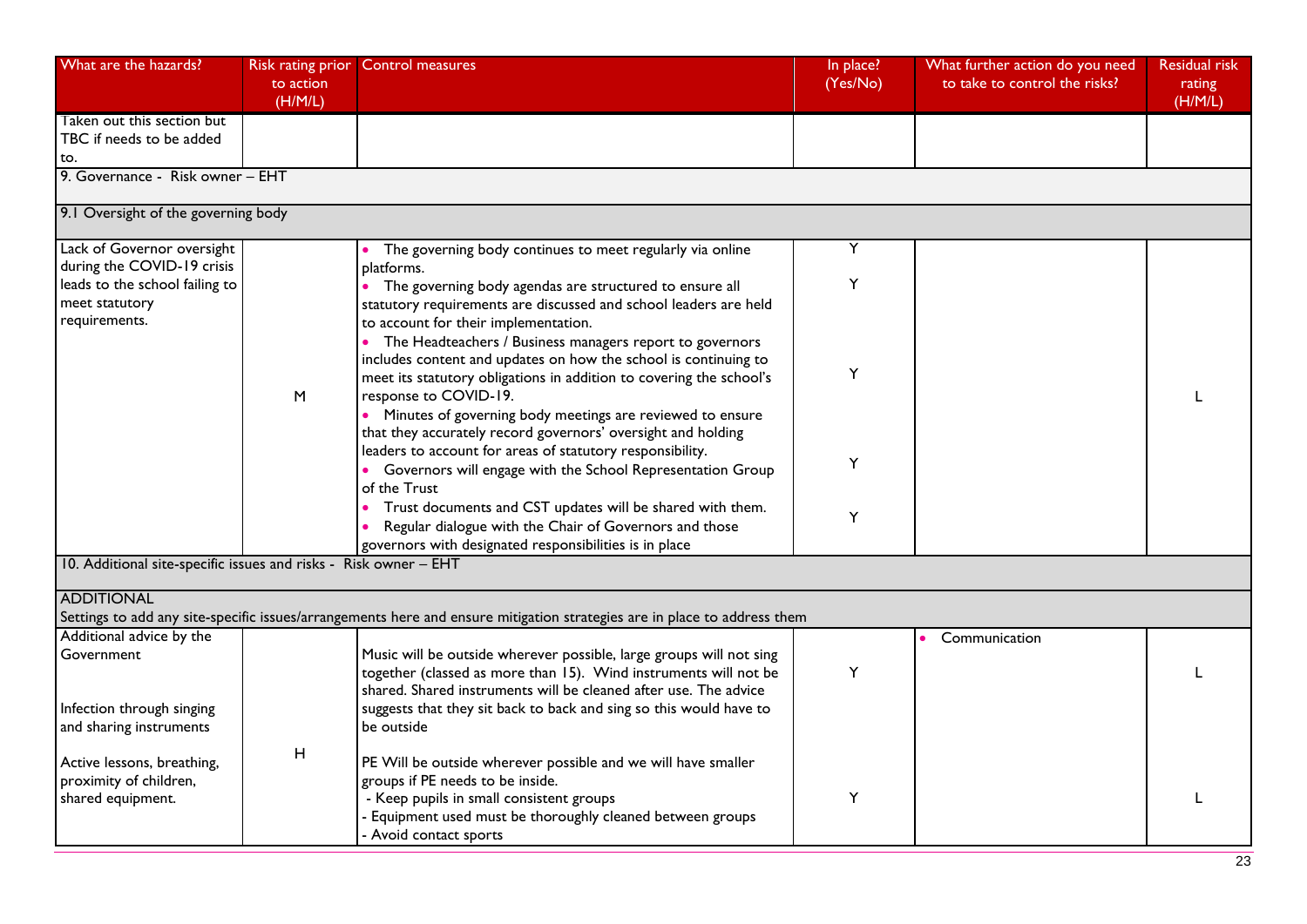| What are the hazards?                                                     | to action<br>(H/M/L) | Risk rating prior Control measures                                                                                                                                                                                                                                                                                                                                                                   | In place?<br>(Yes/No) | What further action do you need<br>to take to control the risks? | <b>Residual risk</b><br>rating<br>(H/M/L) |
|---------------------------------------------------------------------------|----------------------|------------------------------------------------------------------------------------------------------------------------------------------------------------------------------------------------------------------------------------------------------------------------------------------------------------------------------------------------------------------------------------------------------|-----------------------|------------------------------------------------------------------|-------------------------------------------|
| Taken out this section but<br>TBC if needs to be added<br>to.             |                      |                                                                                                                                                                                                                                                                                                                                                                                                      |                       |                                                                  |                                           |
| 9. Governance - Risk owner - EHT                                          |                      |                                                                                                                                                                                                                                                                                                                                                                                                      |                       |                                                                  |                                           |
| 9.1 Oversight of the governing body                                       |                      |                                                                                                                                                                                                                                                                                                                                                                                                      |                       |                                                                  |                                           |
| Lack of Governor oversight<br>during the COVID-19 crisis                  |                      | The governing body continues to meet regularly via online                                                                                                                                                                                                                                                                                                                                            | Y                     |                                                                  |                                           |
| leads to the school failing to<br>meet statutory                          |                      | platforms.<br>• The governing body agendas are structured to ensure all<br>statutory requirements are discussed and school leaders are held                                                                                                                                                                                                                                                          | Y                     |                                                                  |                                           |
| requirements.                                                             | M                    | to account for their implementation.<br>• The Headteachers / Business managers report to governors<br>includes content and updates on how the school is continuing to<br>meet its statutory obligations in addition to covering the school's<br>response to COVID-19.<br>• Minutes of governing body meetings are reviewed to ensure<br>that they accurately record governors' oversight and holding | Y                     |                                                                  |                                           |
|                                                                           |                      | leaders to account for areas of statutory responsibility.<br>• Governors will engage with the School Representation Group<br>of the Trust                                                                                                                                                                                                                                                            | Y                     |                                                                  |                                           |
|                                                                           |                      | Trust documents and CST updates will be shared with them.<br>Regular dialogue with the Chair of Governors and those<br>governors with designated responsibilities is in place                                                                                                                                                                                                                        | Y                     |                                                                  |                                           |
| 10. Additional site-specific issues and risks - Risk owner - EHT          |                      |                                                                                                                                                                                                                                                                                                                                                                                                      |                       |                                                                  |                                           |
| <b>ADDITIONAL</b>                                                         |                      | Settings to add any site-specific issues/arrangements here and ensure mitigation strategies are in place to address them                                                                                                                                                                                                                                                                             |                       |                                                                  |                                           |
| Additional advice by the<br>Government                                    |                      | Music will be outside wherever possible, large groups will not sing<br>together (classed as more than 15). Wind instruments will not be<br>shared. Shared instruments will be cleaned after use. The advice                                                                                                                                                                                          | Y                     | Communication                                                    |                                           |
| Infection through singing<br>and sharing instruments                      |                      | suggests that they sit back to back and sing so this would have to<br>be outside                                                                                                                                                                                                                                                                                                                     |                       |                                                                  |                                           |
| Active lessons, breathing,<br>proximity of children,<br>shared equipment. | H                    | PE Will be outside wherever possible and we will have smaller<br>groups if PE needs to be inside.<br>- Keep pupils in small consistent groups<br>- Equipment used must be thoroughly cleaned between groups<br>- Avoid contact sports                                                                                                                                                                | Y                     |                                                                  |                                           |